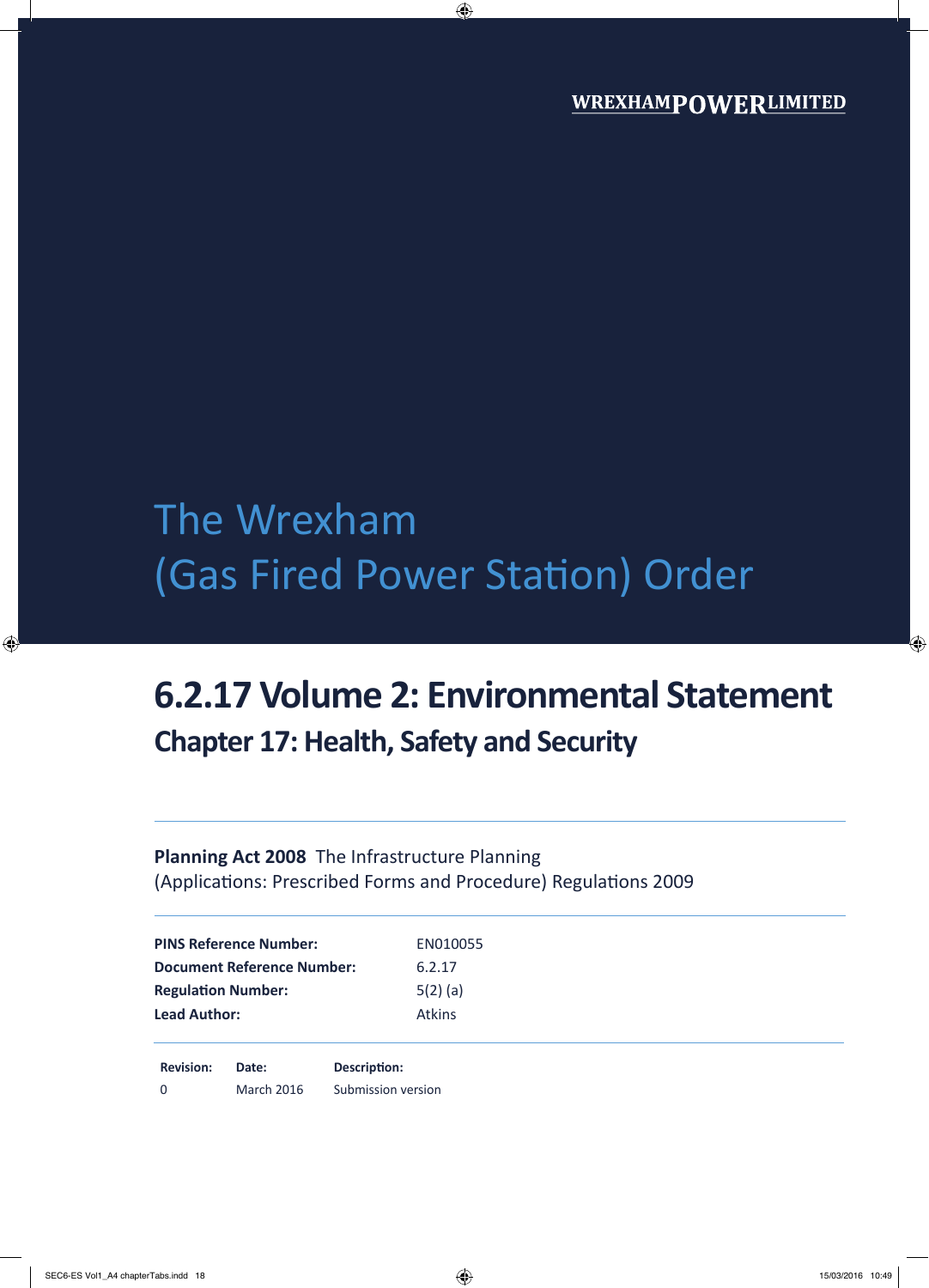# The Wrexham (Gas Fired Power Station) Order

## **6.2.17 Volume 2: Environmental Statement Chapter 17: Health, Safety and Security**

## **Planning Act 2008** The Infrastructure Planning (Applications: Prescribed Forms and Procedure) Regulations 2009

| <b>PINS Reference Number:</b>     | EN010055      |
|-----------------------------------|---------------|
| <b>Document Reference Number:</b> | 6.2.17        |
| <b>Regulation Number:</b>         | $5(2)$ (a)    |
| <b>Lead Author:</b>               | <b>Atkins</b> |

**Revision: Date: Description:** 0 March 2016 Submission version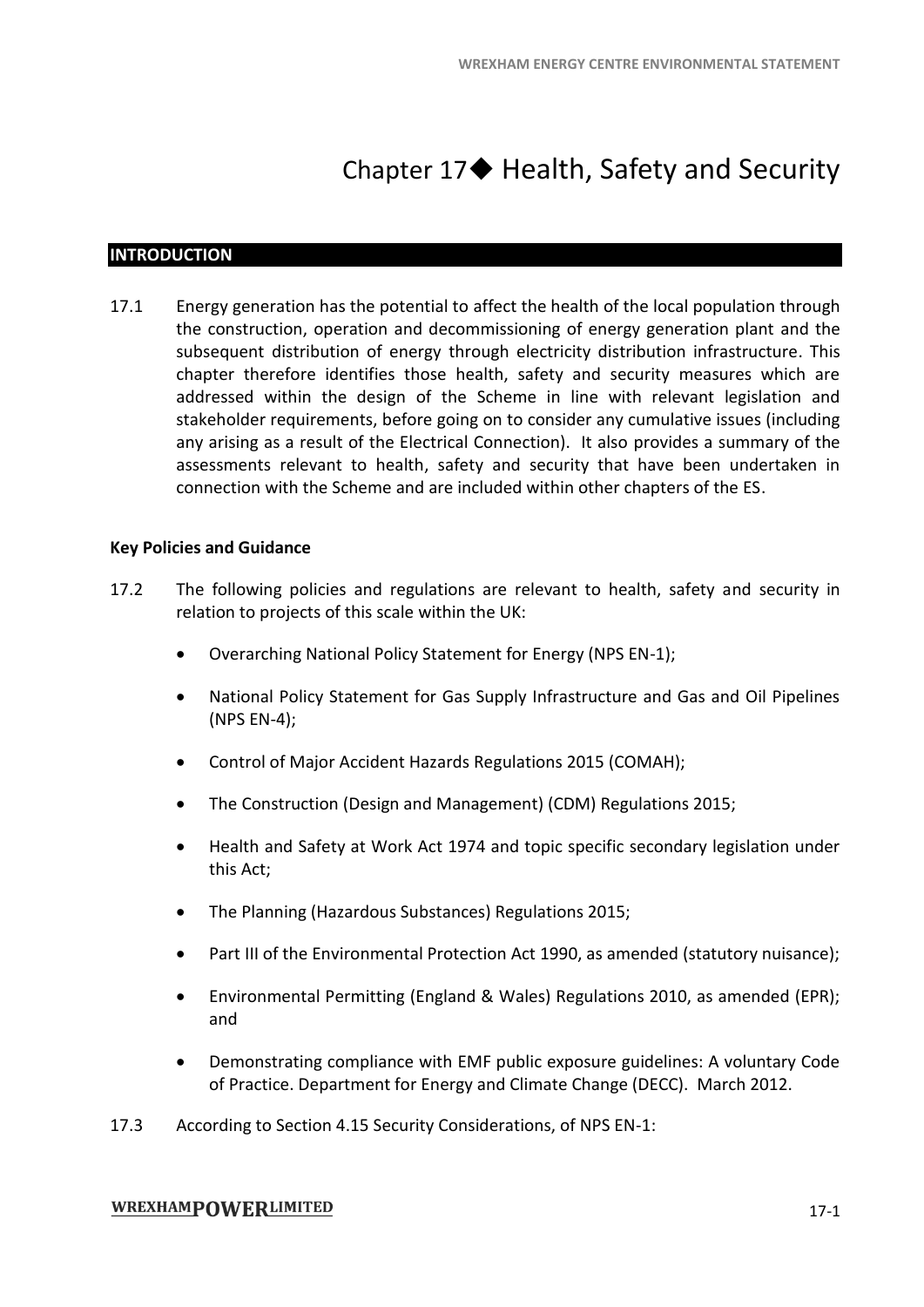## Chapter 17♦ Health, Safety and Security

## **INTRODUCTION**

17.1 Energy generation has the potential to affect the health of the local population through the construction, operation and decommissioning of energy generation plant and the subsequent distribution of energy through electricity distribution infrastructure. This chapter therefore identifies those health, safety and security measures which are addressed within the design of the Scheme in line with relevant legislation and stakeholder requirements, before going on to consider any cumulative issues (including any arising as a result of the Electrical Connection). It also provides a summary of the assessments relevant to health, safety and security that have been undertaken in connection with the Scheme and are included within other chapters of the ES.

## **Key Policies and Guidance**

- 17.2 The following policies and regulations are relevant to health, safety and security in relation to projects of this scale within the UK:
	- Overarching National Policy Statement for Energy (NPS EN-1);
	- National Policy Statement for Gas Supply Infrastructure and Gas and Oil Pipelines (NPS EN-4);
	- Control of Major Accident Hazards Regulations 2015 (COMAH);
	- The Construction (Design and Management) (CDM) Regulations 2015;
	- Health and Safety at Work Act 1974 and topic specific secondary legislation under this Act;
	- The Planning (Hazardous Substances) Regulations 2015;
	- Part III of the Environmental Protection Act 1990, as amended (statutory nuisance);
	- Environmental Permitting (England & Wales) Regulations 2010, as amended (EPR); and
	- Demonstrating compliance with EMF public exposure guidelines: A voluntary Code of Practice. Department for Energy and Climate Change (DECC). March 2012.
- 17.3 According to Section 4.15 Security Considerations, of NPS EN-1:

## **WREXHAMPOWERLIMITED**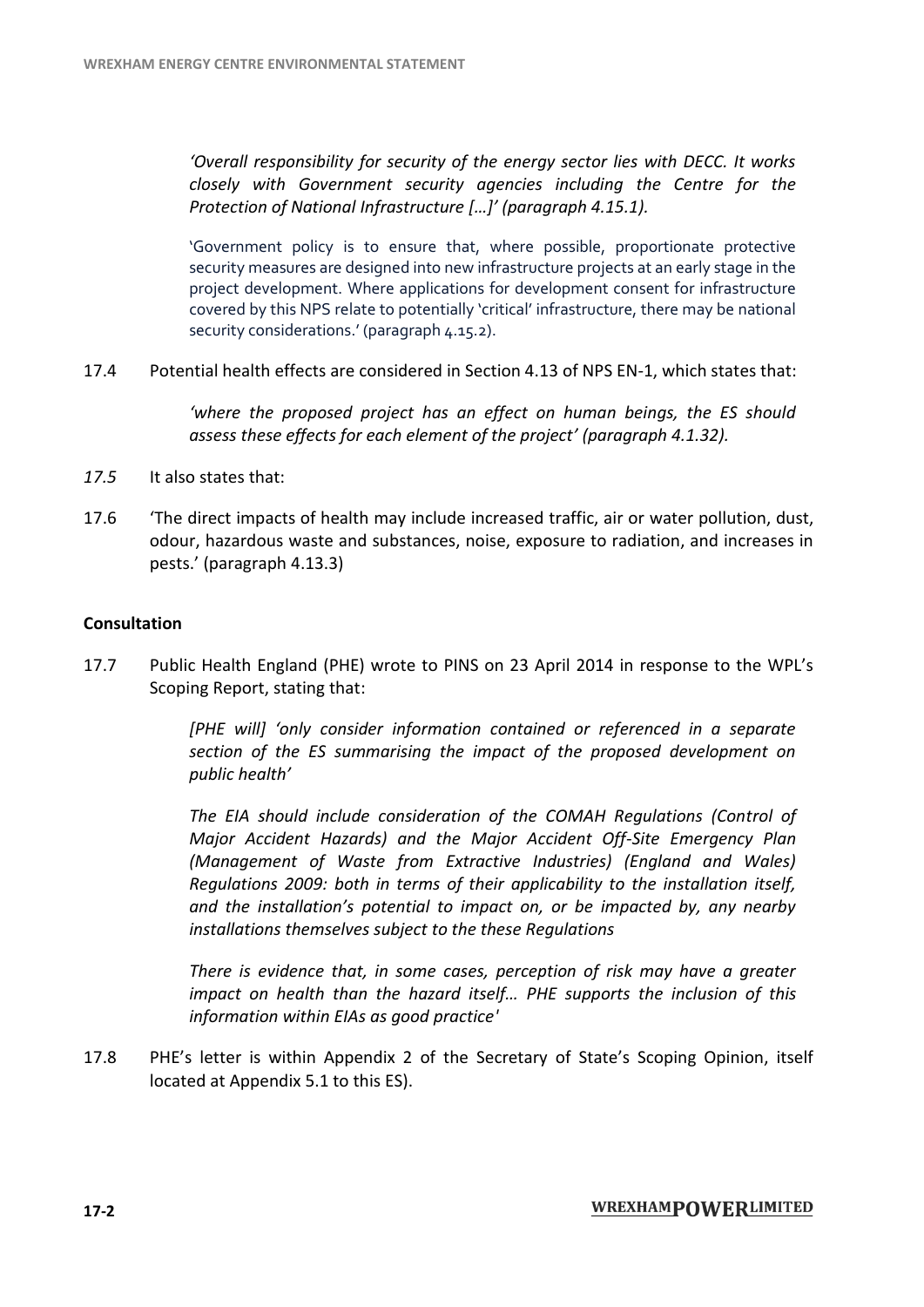*'Overall responsibility for security of the energy sector lies with DECC. It works closely with Government security agencies including the Centre for the Protection of National Infrastructure […]' (paragraph 4.15.1).*

'Government policy is to ensure that, where possible, proportionate protective security measures are designed into new infrastructure projects at an early stage in the project development. Where applications for development consent for infrastructure covered by this NPS relate to potentially 'critical' infrastructure, there may be national security considerations.' (paragraph 4.15.2).

17.4 Potential health effects are considered in Section 4.13 of NPS EN-1, which states that:

*'where the proposed project has an effect on human beings, the ES should assess these effects for each element of the project' (paragraph 4.1.32).* 

- *17.5* It also states that:
- 17.6 'The direct impacts of health may include increased traffic, air or water pollution, dust, odour, hazardous waste and substances, noise, exposure to radiation, and increases in pests.' (paragraph 4.13.3)

## **Consultation**

17.7 Public Health England (PHE) wrote to PINS on 23 April 2014 in response to the WPL's Scoping Report, stating that:

> *[PHE will] 'only consider information contained or referenced in a separate section of the ES summarising the impact of the proposed development on public health'*

> *The EIA should include consideration of the COMAH Regulations (Control of Major Accident Hazards) and the Major Accident Off-Site Emergency Plan (Management of Waste from Extractive Industries) (England and Wales) Regulations 2009: both in terms of their applicability to the installation itself, and the installation's potential to impact on, or be impacted by, any nearby installations themselves subject to the these Regulations*

> *There is evidence that, in some cases, perception of risk may have a greater impact on health than the hazard itself… PHE supports the inclusion of this information within EIAs as good practice'*

17.8 PHE's letter is within Appendix 2 of the Secretary of State's Scoping Opinion, itself located at Appendix 5.1 to this ES).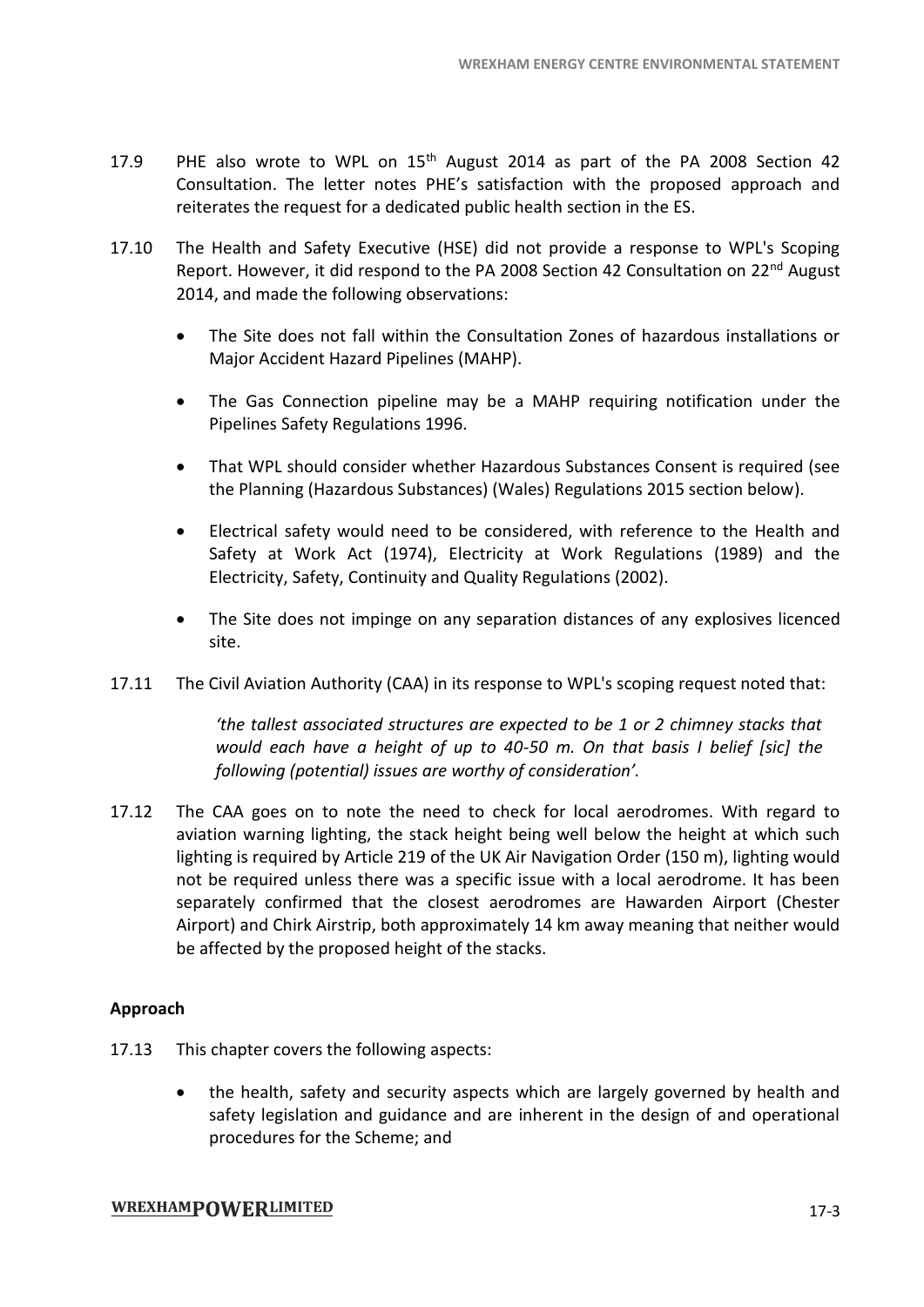- 17.9 PHE also wrote to WPL on 15<sup>th</sup> August 2014 as part of the PA 2008 Section 42 Consultation. The letter notes PHE's satisfaction with the proposed approach and reiterates the request for a dedicated public health section in the ES.
- 17.10 The Health and Safety Executive (HSE) did not provide a response to WPL's Scoping Report. However, it did respond to the PA 2008 Section 42 Consultation on 22<sup>nd</sup> August 2014, and made the following observations:
	- The Site does not fall within the Consultation Zones of hazardous installations or Major Accident Hazard Pipelines (MAHP).
	- The Gas Connection pipeline may be a MAHP requiring notification under the Pipelines Safety Regulations 1996.
	- That WPL should consider whether Hazardous Substances Consent is required (see the Planning (Hazardous Substances) (Wales) Regulations 2015 section below).
	- Electrical safety would need to be considered, with reference to the Health and Safety at Work Act (1974), Electricity at Work Regulations (1989) and the Electricity, Safety, Continuity and Quality Regulations (2002).
	- The Site does not impinge on any separation distances of any explosives licenced site.
- 17.11 The Civil Aviation Authority (CAA) in its response to WPL's scoping request noted that:

*'the tallest associated structures are expected to be 1 or 2 chimney stacks that would each have a height of up to 40-50 m. On that basis I belief [sic] the following (potential) issues are worthy of consideration'.* 

17.12 The CAA goes on to note the need to check for local aerodromes. With regard to aviation warning lighting, the stack height being well below the height at which such lighting is required by Article 219 of the UK Air Navigation Order (150 m), lighting would not be required unless there was a specific issue with a local aerodrome. It has been separately confirmed that the closest aerodromes are Hawarden Airport (Chester Airport) and Chirk Airstrip, both approximately 14 km away meaning that neither would be affected by the proposed height of the stacks.

## **Approach**

- 17.13 This chapter covers the following aspects:
	- the health, safety and security aspects which are largely governed by health and safety legislation and guidance and are inherent in the design of and operational procedures for the Scheme; and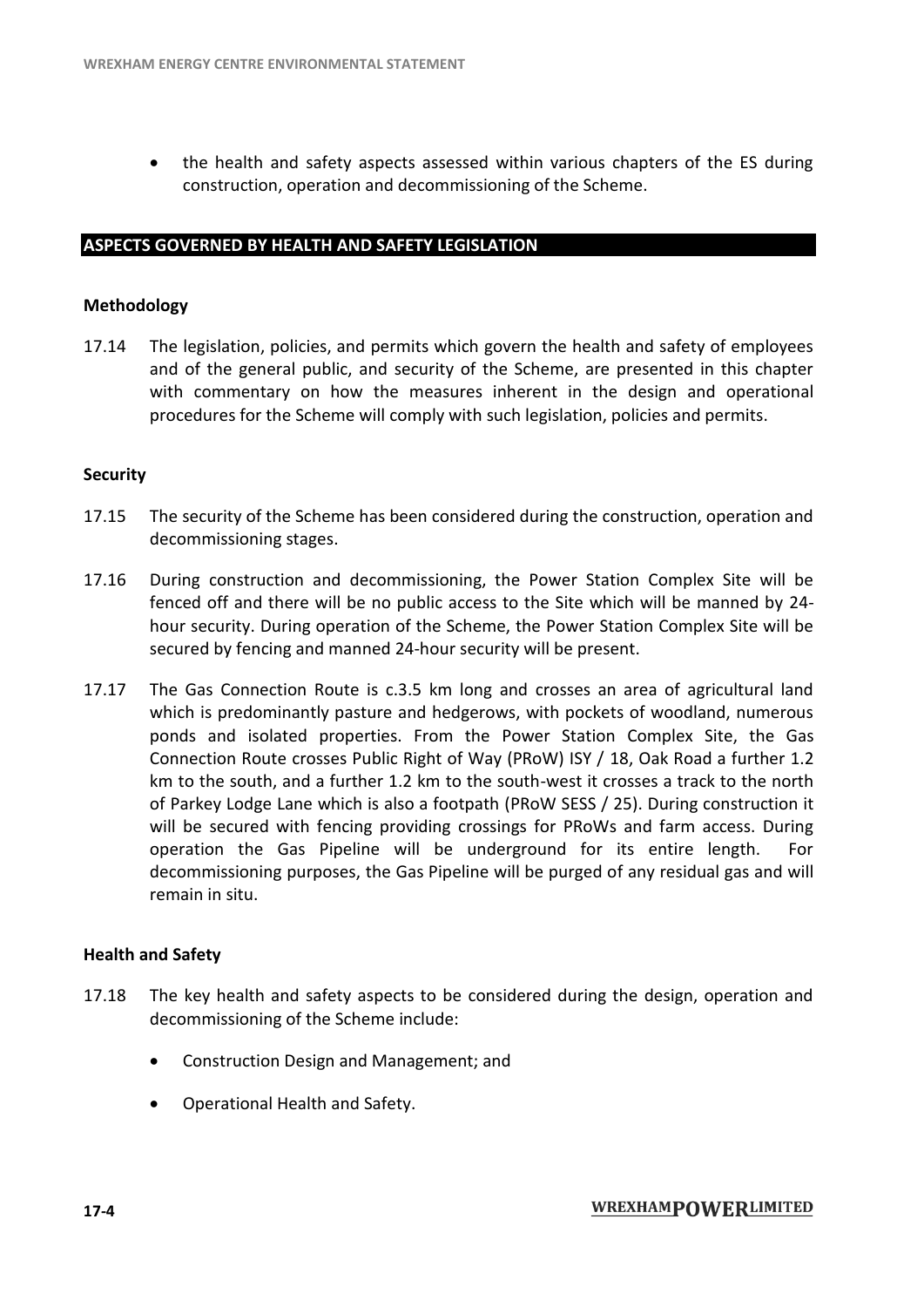the health and safety aspects assessed within various chapters of the ES during construction, operation and decommissioning of the Scheme.

### **ASPECTS GOVERNED BY HEALTH AND SAFETY LEGISLATION**

## **Methodology**

17.14 The legislation, policies, and permits which govern the health and safety of employees and of the general public, and security of the Scheme, are presented in this chapter with commentary on how the measures inherent in the design and operational procedures for the Scheme will comply with such legislation, policies and permits.

## **Security**

- 17.15 The security of the Scheme has been considered during the construction, operation and decommissioning stages.
- 17.16 During construction and decommissioning, the Power Station Complex Site will be fenced off and there will be no public access to the Site which will be manned by 24 hour security. During operation of the Scheme, the Power Station Complex Site will be secured by fencing and manned 24-hour security will be present.
- 17.17 The Gas Connection Route is c.3.5 km long and crosses an area of agricultural land which is predominantly pasture and hedgerows, with pockets of woodland, numerous ponds and isolated properties. From the Power Station Complex Site, the Gas Connection Route crosses Public Right of Way (PRoW) ISY / 18, Oak Road a further 1.2 km to the south, and a further 1.2 km to the south-west it crosses a track to the north of Parkey Lodge Lane which is also a footpath (PRoW SESS / 25). During construction it will be secured with fencing providing crossings for PRoWs and farm access. During operation the Gas Pipeline will be underground for its entire length. For decommissioning purposes, the Gas Pipeline will be purged of any residual gas and will remain in situ.

#### **Health and Safety**

- 17.18 The key health and safety aspects to be considered during the design, operation and decommissioning of the Scheme include:
	- Construction Design and Management; and
	- Operational Health and Safety.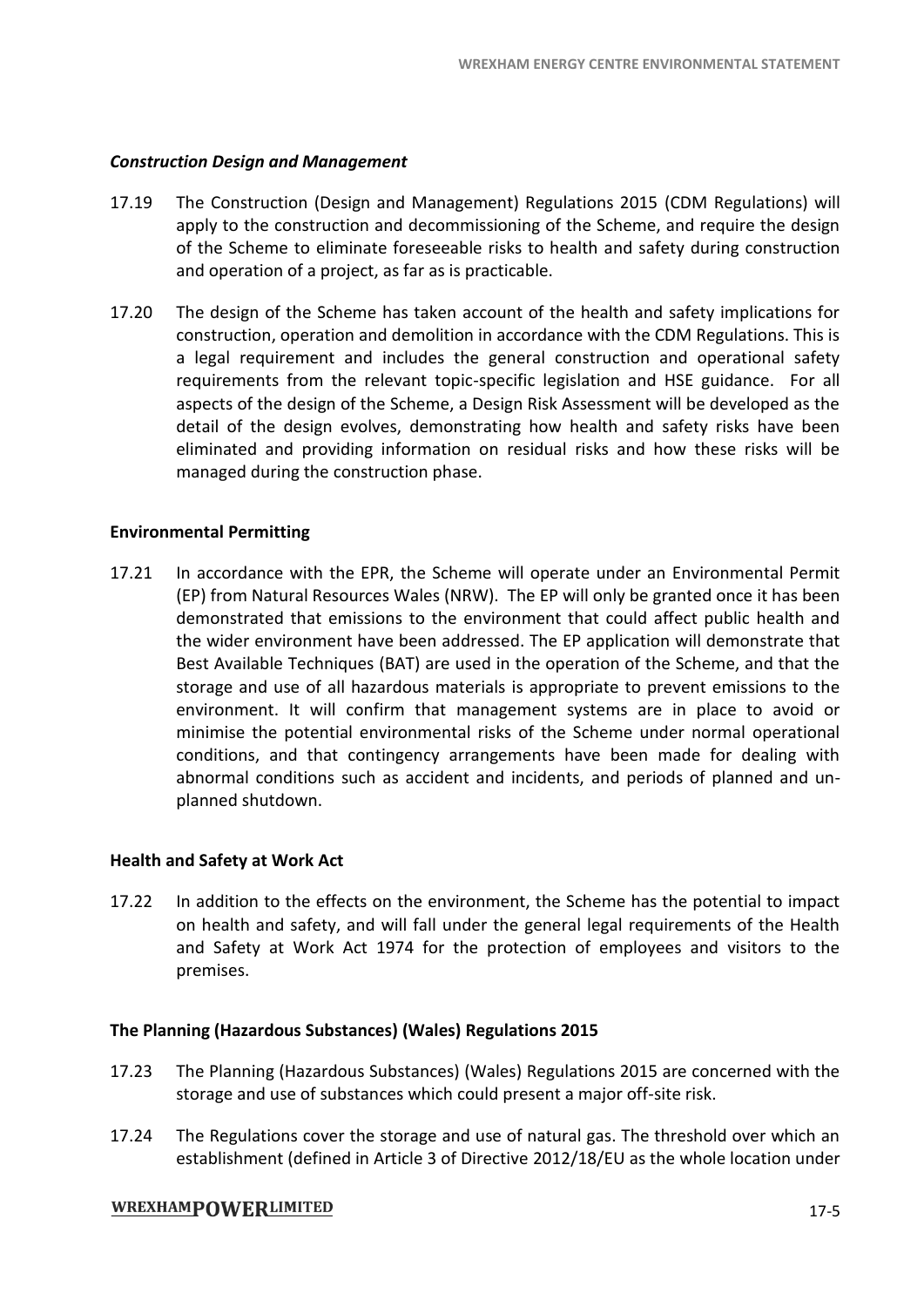## *Construction Design and Management*

- 17.19 The Construction (Design and Management) Regulations 2015 (CDM Regulations) will apply to the construction and decommissioning of the Scheme, and require the design of the Scheme to eliminate foreseeable risks to health and safety during construction and operation of a project, as far as is practicable.
- 17.20 The design of the Scheme has taken account of the health and safety implications for construction, operation and demolition in accordance with the CDM Regulations. This is a legal requirement and includes the general construction and operational safety requirements from the relevant topic-specific legislation and HSE guidance. For all aspects of the design of the Scheme, a Design Risk Assessment will be developed as the detail of the design evolves, demonstrating how health and safety risks have been eliminated and providing information on residual risks and how these risks will be managed during the construction phase.

## **Environmental Permitting**

17.21 In accordance with the EPR, the Scheme will operate under an Environmental Permit (EP) from Natural Resources Wales (NRW). The EP will only be granted once it has been demonstrated that emissions to the environment that could affect public health and the wider environment have been addressed. The EP application will demonstrate that Best Available Techniques (BAT) are used in the operation of the Scheme, and that the storage and use of all hazardous materials is appropriate to prevent emissions to the environment. It will confirm that management systems are in place to avoid or minimise the potential environmental risks of the Scheme under normal operational conditions, and that contingency arrangements have been made for dealing with abnormal conditions such as accident and incidents, and periods of planned and unplanned shutdown.

#### **Health and Safety at Work Act**

17.22 In addition to the effects on the environment, the Scheme has the potential to impact on health and safety, and will fall under the general legal requirements of the Health and Safety at Work Act 1974 for the protection of employees and visitors to the premises.

#### **The Planning (Hazardous Substances) (Wales) Regulations 2015**

- 17.23 The Planning (Hazardous Substances) (Wales) Regulations 2015 are concerned with the storage and use of substances which could present a major off-site risk.
- 17.24 The Regulations cover the storage and use of natural gas. The threshold over which an establishment (defined in Article 3 of Directive 2012/18/EU as the whole location under

#### **WREXHAMPOWERLIMITED**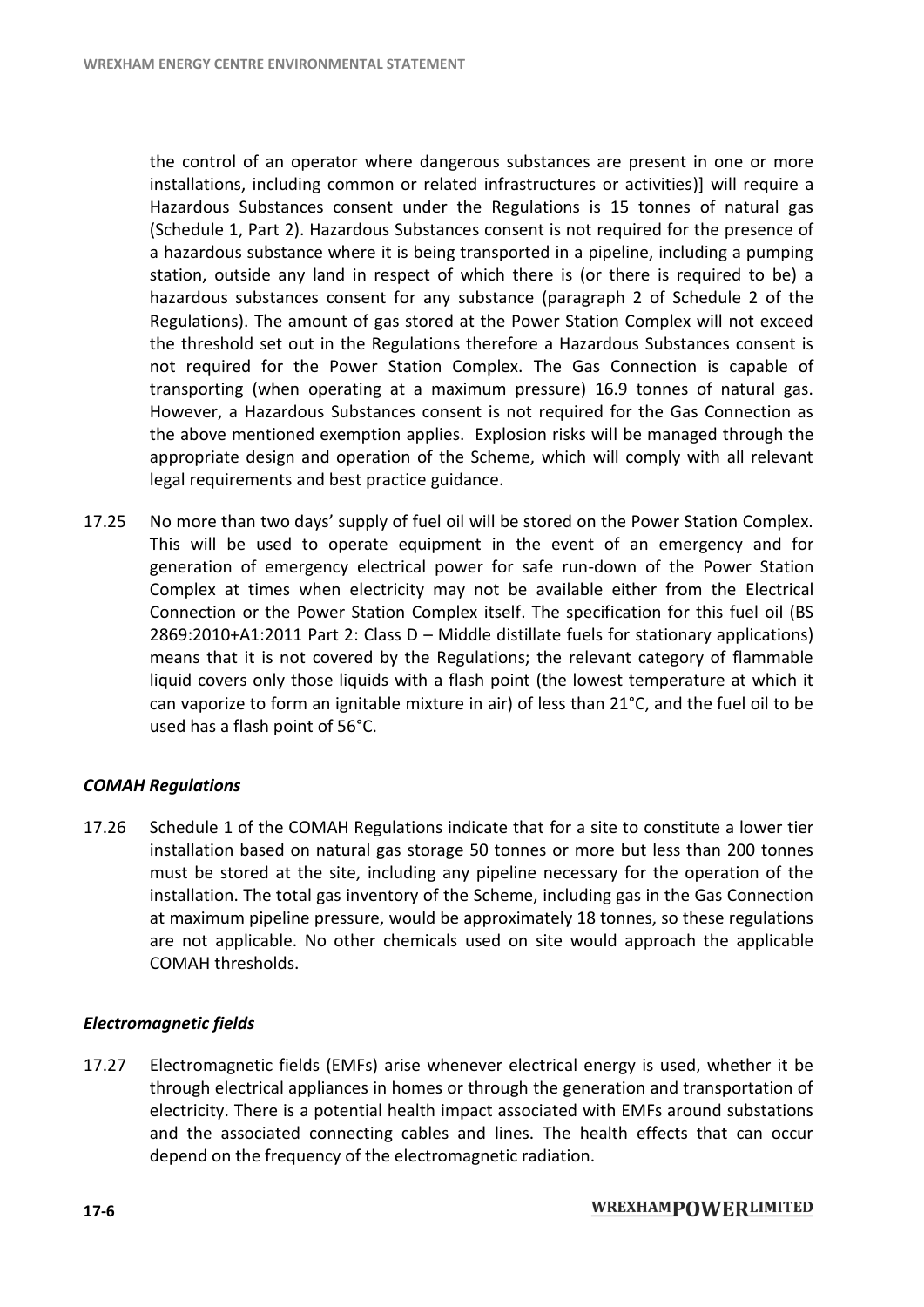the control of an operator where dangerous substances are present in one or more installations, including common or related infrastructures or activities)] will require a Hazardous Substances consent under the Regulations is 15 tonnes of natural gas (Schedule 1, Part 2). Hazardous Substances consent is not required for the presence of a hazardous substance where it is being transported in a pipeline, including a pumping station, outside any land in respect of which there is (or there is required to be) a hazardous substances consent for any substance (paragraph 2 of Schedule 2 of the Regulations). The amount of gas stored at the Power Station Complex will not exceed the threshold set out in the Regulations therefore a Hazardous Substances consent is not required for the Power Station Complex. The Gas Connection is capable of transporting (when operating at a maximum pressure) 16.9 tonnes of natural gas. However, a Hazardous Substances consent is not required for the Gas Connection as the above mentioned exemption applies. Explosion risks will be managed through the appropriate design and operation of the Scheme, which will comply with all relevant legal requirements and best practice guidance.

17.25 No more than two days' supply of fuel oil will be stored on the Power Station Complex. This will be used to operate equipment in the event of an emergency and for generation of emergency electrical power for safe run-down of the Power Station Complex at times when electricity may not be available either from the Electrical Connection or the Power Station Complex itself. The specification for this fuel oil (BS 2869:2010+A1:2011 Part 2: Class D – Middle distillate fuels for stationary applications) means that it is not covered by the Regulations; the relevant category of flammable liquid covers only those liquids with a flash point (the lowest temperature at which it can vaporize to form an ignitable mixture in air) of less than 21°C, and the fuel oil to be used has a flash point of 56°C.

## *COMAH Regulations*

17.26 Schedule 1 of the COMAH Regulations indicate that for a site to constitute a lower tier installation based on natural gas storage 50 tonnes or more but less than 200 tonnes must be stored at the site, including any pipeline necessary for the operation of the installation. The total gas inventory of the Scheme, including gas in the Gas Connection at maximum pipeline pressure, would be approximately 18 tonnes, so these regulations are not applicable. No other chemicals used on site would approach the applicable COMAH thresholds.

## *Electromagnetic fields*

17.27 Electromagnetic fields (EMFs) arise whenever electrical energy is used, whether it be through electrical appliances in homes or through the generation and transportation of electricity. There is a potential health impact associated with EMFs around substations and the associated connecting cables and lines. The health effects that can occur depend on the frequency of the electromagnetic radiation.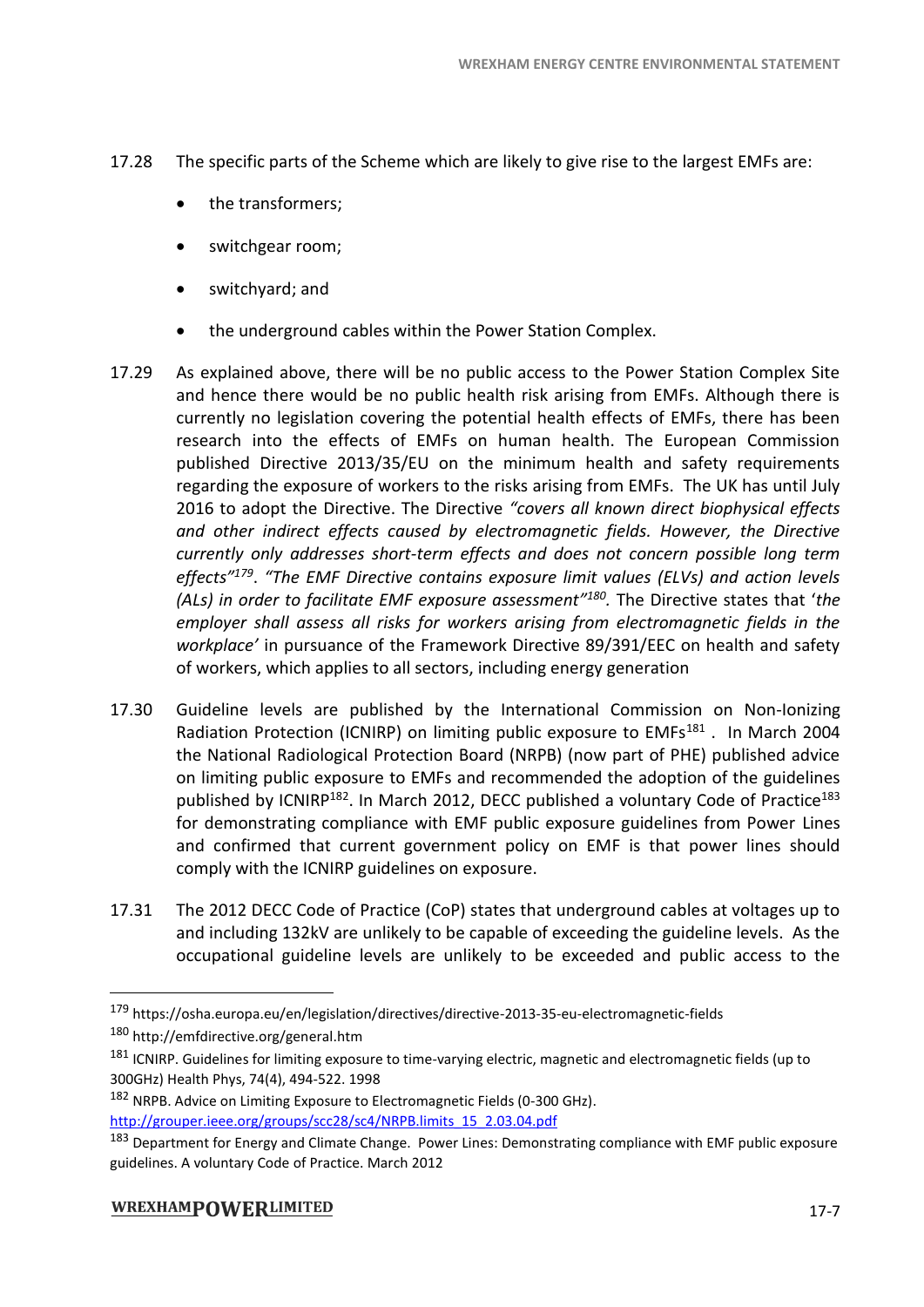- 17.28 The specific parts of the Scheme which are likely to give rise to the largest EMFs are:
	- the transformers;
	- switchgear room;
	- switchyard; and
	- the underground cables within the Power Station Complex.
- 17.29 As explained above, there will be no public access to the Power Station Complex Site and hence there would be no public health risk arising from EMFs. Although there is currently no legislation covering the potential health effects of EMFs, there has been research into the effects of EMFs on human health. The European Commission published Directive 2013/35/EU on the minimum health and safety requirements regarding the exposure of workers to the risks arising from EMFs. The UK has until July 2016 to adopt the Directive. The Directive *"covers all known direct biophysical effects and other indirect effects caused by electromagnetic fields. However, the Directive currently only addresses short-term effects and does not concern possible long term effects"<sup>179</sup>* . *"The EMF Directive contains exposure limit values (ELVs) and action levels (ALs) in order to facilitate EMF exposure assessment" 180 .* The Directive states that '*the employer shall assess all risks for workers arising from electromagnetic fields in the workplace'* in pursuance of the Framework Directive 89/391/EEC on health and safety of workers, which applies to all sectors, including energy generation
- 17.30 Guideline levels are published by the International Commission on Non-Ionizing Radiation Protection (ICNIRP) on limiting public exposure to  $EMFs^{181}$ . In March 2004 the National Radiological Protection Board (NRPB) (now part of PHE) published advice on limiting public exposure to EMFs and recommended the adoption of the guidelines published by ICNIRP<sup>182</sup>. In March 2012, DECC published a voluntary Code of Practice<sup>183</sup> for demonstrating compliance with EMF public exposure guidelines from Power Lines and confirmed that current government policy on EMF is that power lines should comply with the ICNIRP guidelines on exposure.
- 17.31 The 2012 DECC Code of Practice (CoP) states that underground cables at voltages up to and including 132kV are unlikely to be capable of exceeding the guideline levels. As the occupational guideline levels are unlikely to be exceeded and public access to the

 $\overline{a}$ 

<sup>179</sup> https://osha.europa.eu/en/legislation/directives/directive-2013-35-eu-electromagnetic-fields

<sup>180</sup> http://emfdirective.org/general.htm

<sup>&</sup>lt;sup>181</sup> ICNIRP. Guidelines for limiting exposure to time-varying electric, magnetic and electromagnetic fields (up to 300GHz) Health Phys, 74(4), 494-522. 1998

<sup>182</sup> NRPB. Advice on Limiting Exposure to Electromagnetic Fields (0-300 GHz). [http://grouper.ieee.org/groups/scc28/sc4/NRPB.limits\\_15\\_2.03.04.pdf](http://grouper.ieee.org/groups/scc28/sc4/NRPB.limits_15_2.03.04.pdf)

<sup>183</sup> Department for Energy and Climate Change. Power Lines: Demonstrating compliance with EMF public exposure guidelines. A voluntary Code of Practice. March 2012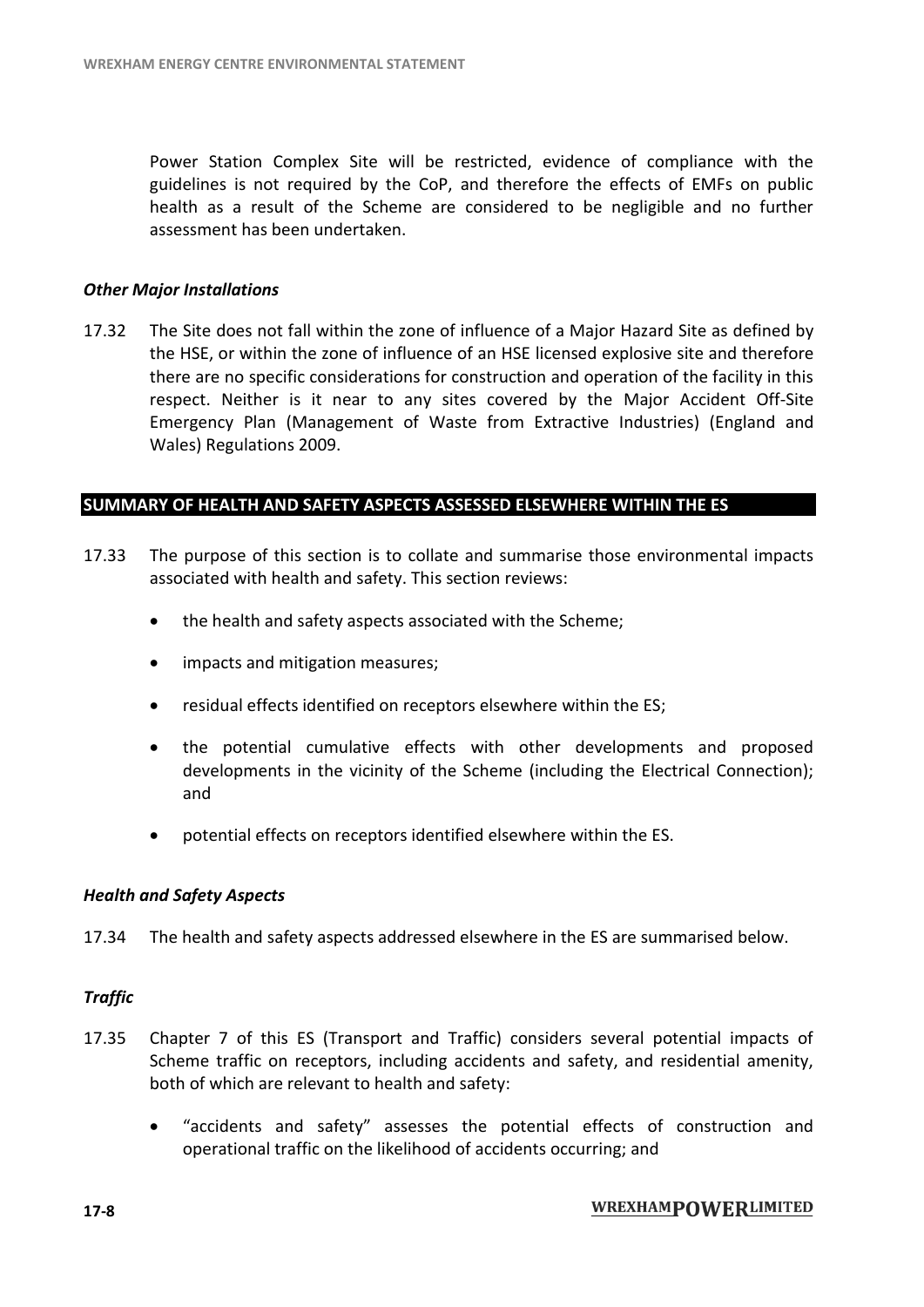Power Station Complex Site will be restricted, evidence of compliance with the guidelines is not required by the CoP, and therefore the effects of EMFs on public health as a result of the Scheme are considered to be negligible and no further assessment has been undertaken.

## *Other Major Installations*

17.32 The Site does not fall within the zone of influence of a Major Hazard Site as defined by the HSE, or within the zone of influence of an HSE licensed explosive site and therefore there are no specific considerations for construction and operation of the facility in this respect. Neither is it near to any sites covered by the Major Accident Off-Site Emergency Plan (Management of Waste from Extractive Industries) (England and Wales) Regulations 2009.

## **SUMMARY OF HEALTH AND SAFETY ASPECTS ASSESSED ELSEWHERE WITHIN THE ES**

- 17.33 The purpose of this section is to collate and summarise those environmental impacts associated with health and safety. This section reviews:
	- the health and safety aspects associated with the Scheme:
	- impacts and mitigation measures;
	- residual effects identified on receptors elsewhere within the ES;
	- the potential cumulative effects with other developments and proposed developments in the vicinity of the Scheme (including the Electrical Connection); and
	- potential effects on receptors identified elsewhere within the ES.

### *Health and Safety Aspects*

17.34 The health and safety aspects addressed elsewhere in the ES are summarised below.

## *Traffic*

- 17.35 Chapter 7 of this ES (Transport and Traffic) considers several potential impacts of Scheme traffic on receptors, including accidents and safety, and residential amenity, both of which are relevant to health and safety:
	- "accidents and safety" assesses the potential effects of construction and operational traffic on the likelihood of accidents occurring; and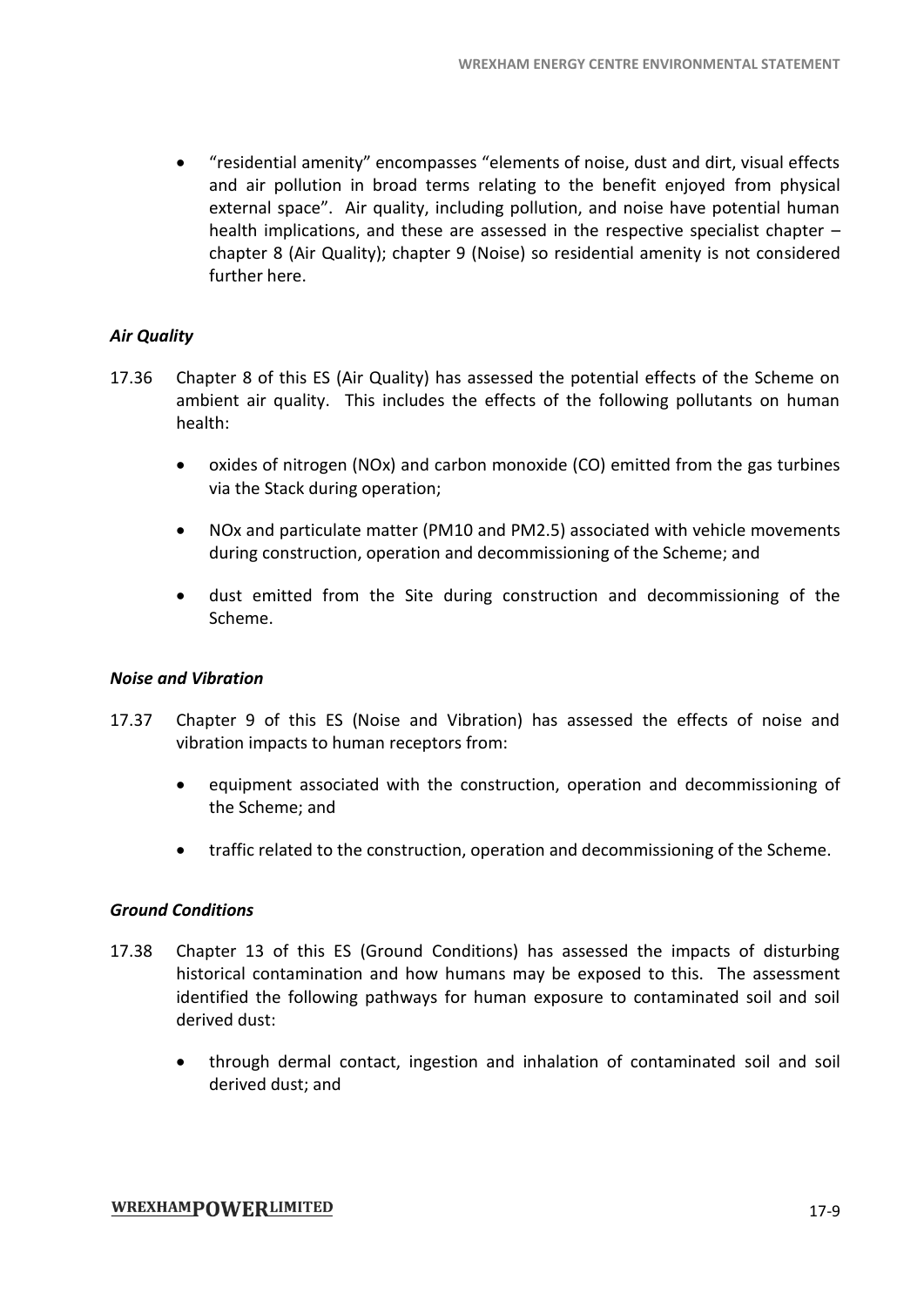"residential amenity" encompasses "elements of noise, dust and dirt, visual effects and air pollution in broad terms relating to the benefit enjoyed from physical external space". Air quality, including pollution, and noise have potential human health implications, and these are assessed in the respective specialist chapter – chapter 8 (Air Quality); chapter 9 (Noise) so residential amenity is not considered further here.

## *Air Quality*

- 17.36 Chapter 8 of this ES (Air Quality) has assessed the potential effects of the Scheme on ambient air quality. This includes the effects of the following pollutants on human health:
	- oxides of nitrogen (NOx) and carbon monoxide (CO) emitted from the gas turbines via the Stack during operation;
	- NOx and particulate matter (PM10 and PM2.5) associated with vehicle movements during construction, operation and decommissioning of the Scheme; and
	- dust emitted from the Site during construction and decommissioning of the Scheme.

## *Noise and Vibration*

- 17.37 Chapter 9 of this ES (Noise and Vibration) has assessed the effects of noise and vibration impacts to human receptors from:
	- equipment associated with the construction, operation and decommissioning of the Scheme; and
	- traffic related to the construction, operation and decommissioning of the Scheme.

## *Ground Conditions*

- 17.38 Chapter 13 of this ES (Ground Conditions) has assessed the impacts of disturbing historical contamination and how humans may be exposed to this. The assessment identified the following pathways for human exposure to contaminated soil and soil derived dust:
	- through dermal contact, ingestion and inhalation of contaminated soil and soil derived dust; and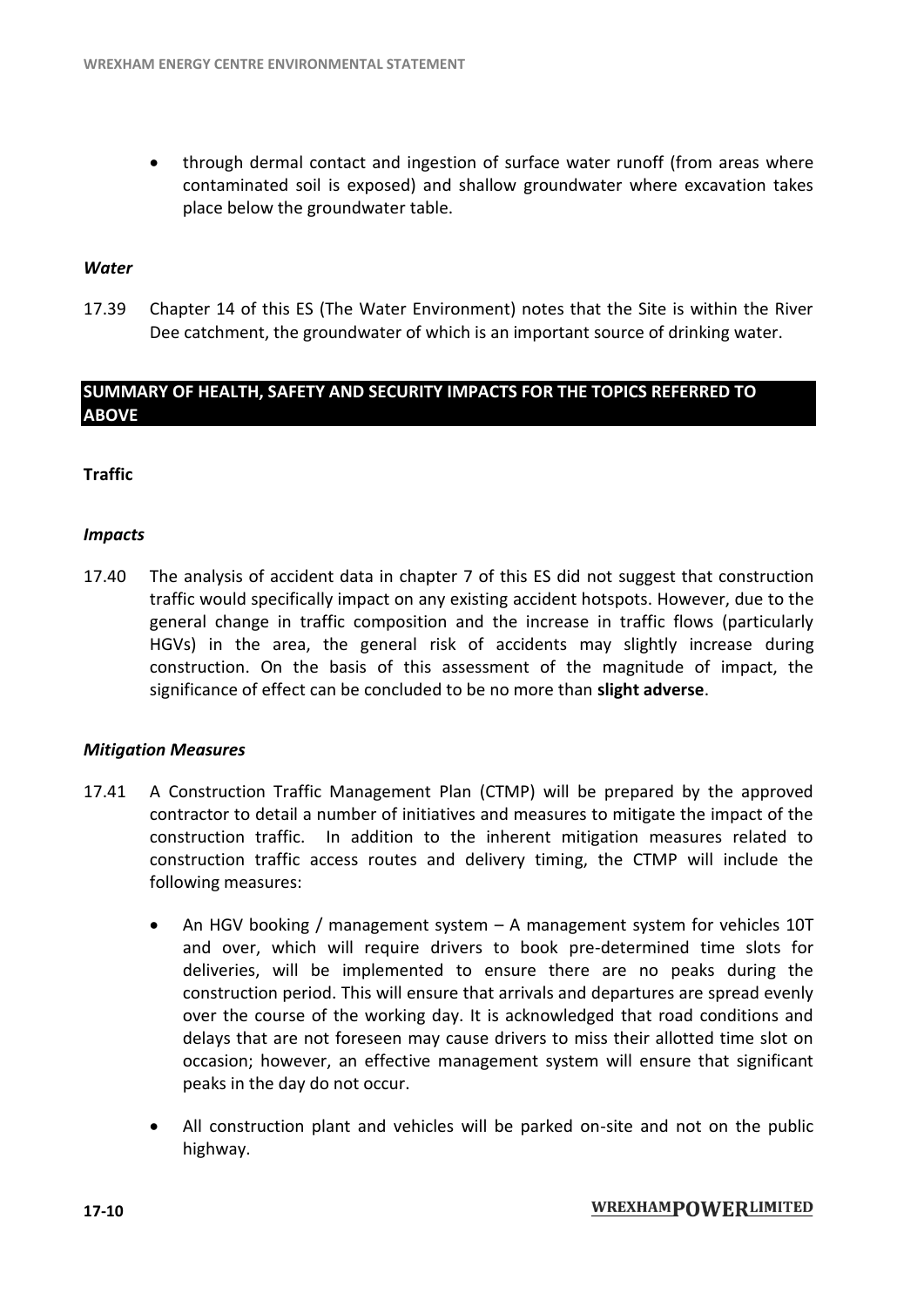through dermal contact and ingestion of surface water runoff (from areas where contaminated soil is exposed) and shallow groundwater where excavation takes place below the groundwater table.

## *Water*

17.39 Chapter 14 of this ES (The Water Environment) notes that the Site is within the River Dee catchment, the groundwater of which is an important source of drinking water.

## **SUMMARY OF HEALTH, SAFETY AND SECURITY IMPACTS FOR THE TOPICS REFERRED TO ABOVE**

## **Traffic**

## *Impacts*

17.40 The analysis of accident data in chapter 7 of this ES did not suggest that construction traffic would specifically impact on any existing accident hotspots. However, due to the general change in traffic composition and the increase in traffic flows (particularly HGVs) in the area, the general risk of accidents may slightly increase during construction. On the basis of this assessment of the magnitude of impact, the significance of effect can be concluded to be no more than **slight adverse**.

#### *Mitigation Measures*

- 17.41 A Construction Traffic Management Plan (CTMP) will be prepared by the approved contractor to detail a number of initiatives and measures to mitigate the impact of the construction traffic. In addition to the inherent mitigation measures related to construction traffic access routes and delivery timing, the CTMP will include the following measures:
	- An HGV booking / management system A management system for vehicles 10T and over, which will require drivers to book pre-determined time slots for deliveries, will be implemented to ensure there are no peaks during the construction period. This will ensure that arrivals and departures are spread evenly over the course of the working day. It is acknowledged that road conditions and delays that are not foreseen may cause drivers to miss their allotted time slot on occasion; however, an effective management system will ensure that significant peaks in the day do not occur.
	- All construction plant and vehicles will be parked on-site and not on the public highway.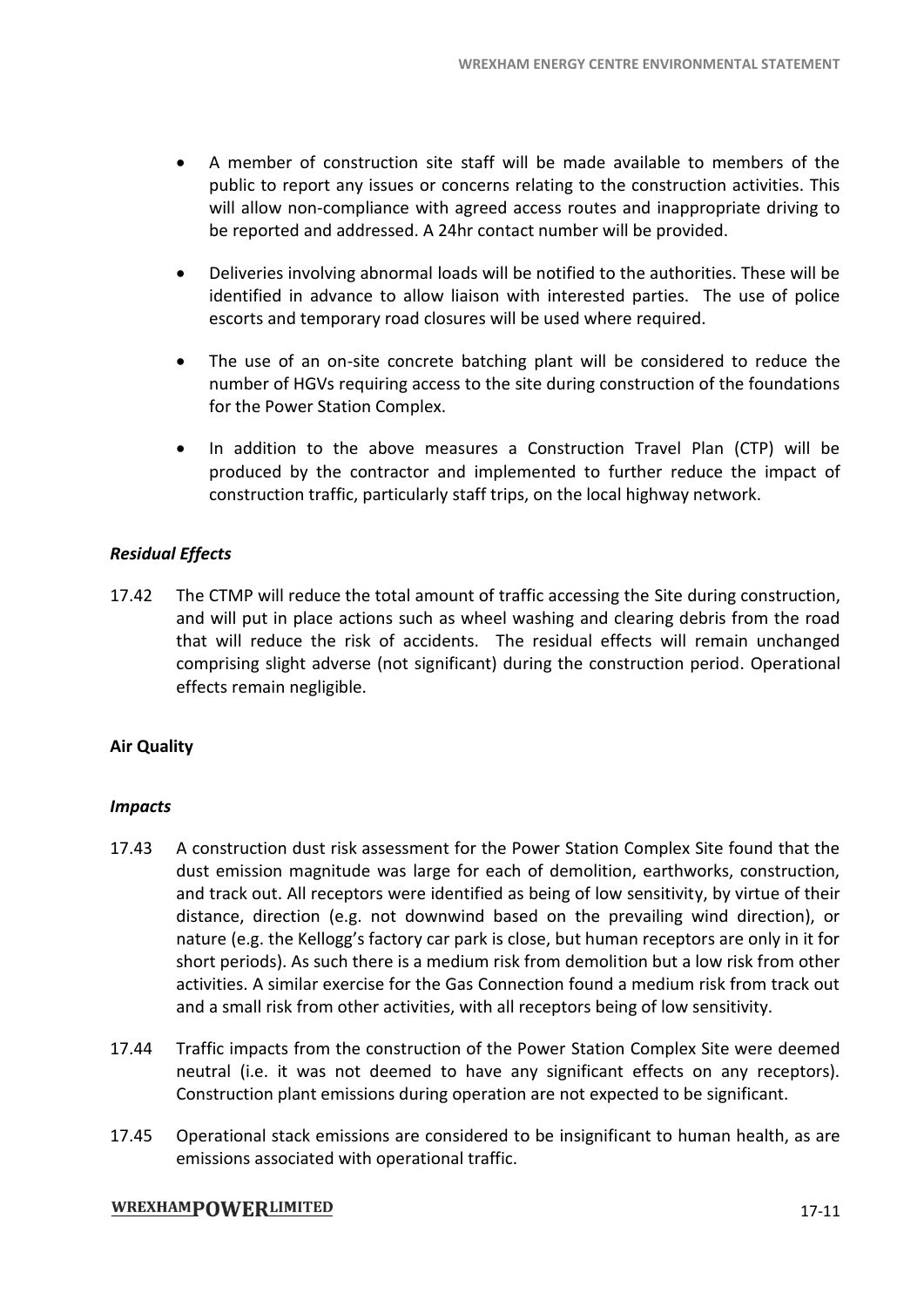- A member of construction site staff will be made available to members of the public to report any issues or concerns relating to the construction activities. This will allow non-compliance with agreed access routes and inappropriate driving to be reported and addressed. A 24hr contact number will be provided.
- Deliveries involving abnormal loads will be notified to the authorities. These will be identified in advance to allow liaison with interested parties. The use of police escorts and temporary road closures will be used where required.
- The use of an on-site concrete batching plant will be considered to reduce the number of HGVs requiring access to the site during construction of the foundations for the Power Station Complex.
- In addition to the above measures a Construction Travel Plan (CTP) will be produced by the contractor and implemented to further reduce the impact of construction traffic, particularly staff trips, on the local highway network.

## *Residual Effects*

17.42 The CTMP will reduce the total amount of traffic accessing the Site during construction, and will put in place actions such as wheel washing and clearing debris from the road that will reduce the risk of accidents. The residual effects will remain unchanged comprising slight adverse (not significant) during the construction period. Operational effects remain negligible.

## **Air Quality**

## *Impacts*

- 17.43 A construction dust risk assessment for the Power Station Complex Site found that the dust emission magnitude was large for each of demolition, earthworks, construction, and track out. All receptors were identified as being of low sensitivity, by virtue of their distance, direction (e.g. not downwind based on the prevailing wind direction), or nature (e.g. the Kellogg's factory car park is close, but human receptors are only in it for short periods). As such there is a medium risk from demolition but a low risk from other activities. A similar exercise for the Gas Connection found a medium risk from track out and a small risk from other activities, with all receptors being of low sensitivity.
- 17.44 Traffic impacts from the construction of the Power Station Complex Site were deemed neutral (i.e. it was not deemed to have any significant effects on any receptors). Construction plant emissions during operation are not expected to be significant.
- 17.45 Operational stack emissions are considered to be insignificant to human health, as are emissions associated with operational traffic.

## **WREXHAMPOWERLIMITED**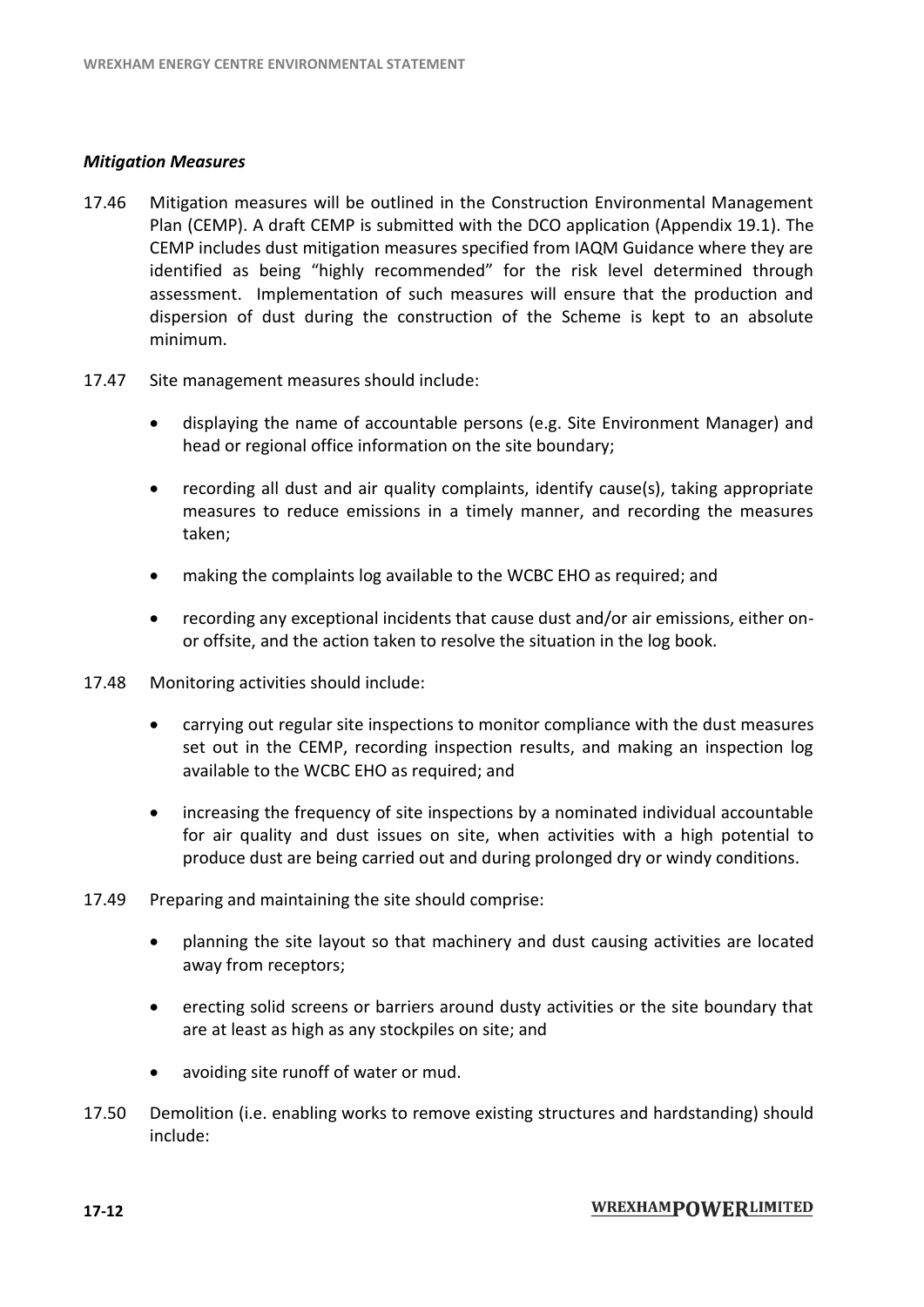## *Mitigation Measures*

- 17.46 Mitigation measures will be outlined in the Construction Environmental Management Plan (CEMP). A draft CEMP is submitted with the DCO application (Appendix 19.1). The CEMP includes dust mitigation measures specified from IAQM Guidance where they are identified as being "highly recommended" for the risk level determined through assessment. Implementation of such measures will ensure that the production and dispersion of dust during the construction of the Scheme is kept to an absolute minimum.
- 17.47 Site management measures should include:
	- displaying the name of accountable persons (e.g. Site Environment Manager) and head or regional office information on the site boundary;
	- recording all dust and air quality complaints, identify cause(s), taking appropriate measures to reduce emissions in a timely manner, and recording the measures taken;
	- making the complaints log available to the WCBC EHO as required; and
	- recording any exceptional incidents that cause dust and/or air emissions, either onor offsite, and the action taken to resolve the situation in the log book.
- 17.48 Monitoring activities should include:
	- carrying out regular site inspections to monitor compliance with the dust measures set out in the CEMP, recording inspection results, and making an inspection log available to the WCBC EHO as required; and
	- increasing the frequency of site inspections by a nominated individual accountable for air quality and dust issues on site, when activities with a high potential to produce dust are being carried out and during prolonged dry or windy conditions.
- 17.49 Preparing and maintaining the site should comprise:
	- planning the site layout so that machinery and dust causing activities are located away from receptors;
	- erecting solid screens or barriers around dusty activities or the site boundary that are at least as high as any stockpiles on site; and
	- avoiding site runoff of water or mud.
- 17.50 Demolition (i.e. enabling works to remove existing structures and hardstanding) should include: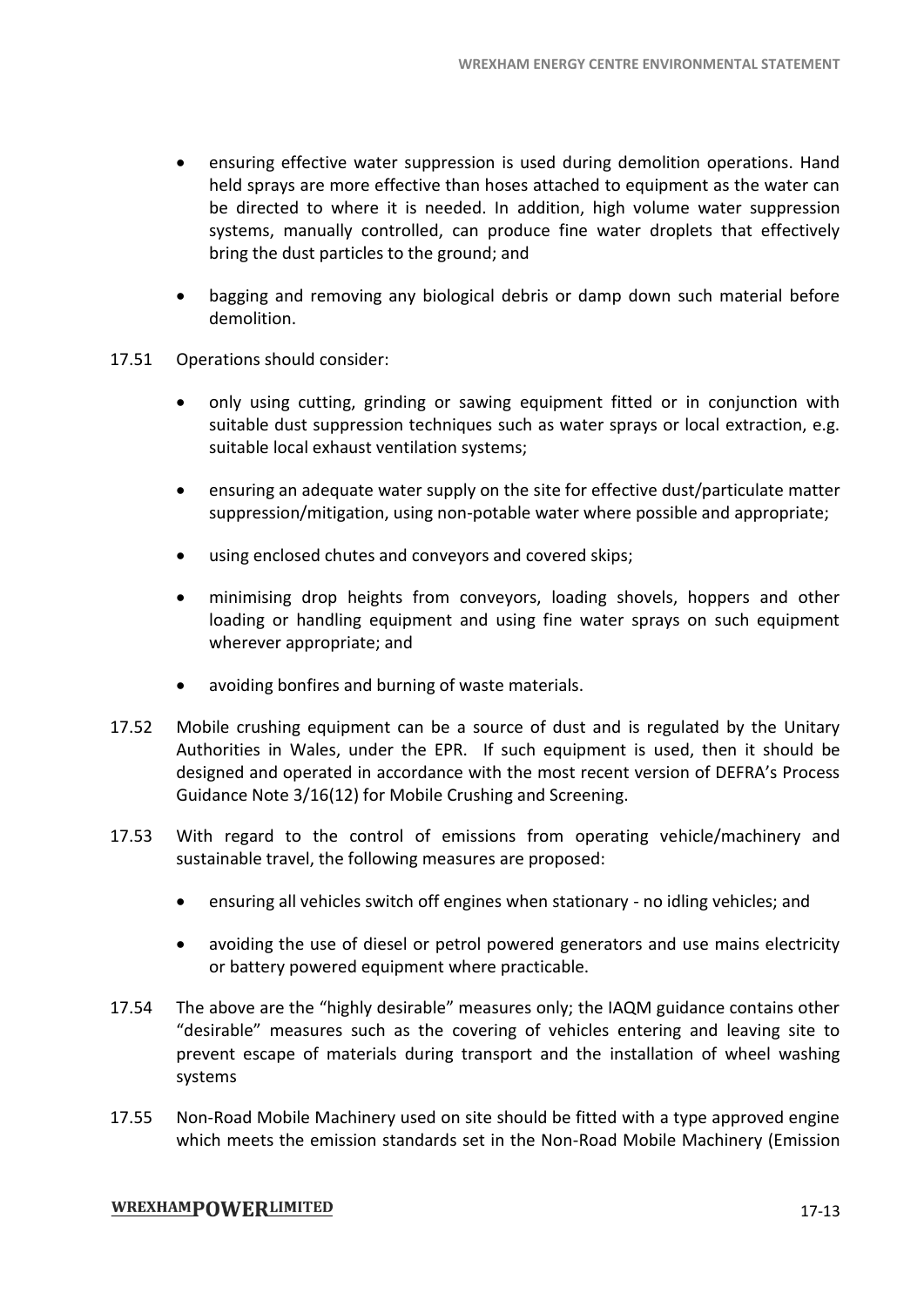- ensuring effective water suppression is used during demolition operations. Hand held sprays are more effective than hoses attached to equipment as the water can be directed to where it is needed. In addition, high volume water suppression systems, manually controlled, can produce fine water droplets that effectively bring the dust particles to the ground; and
- bagging and removing any biological debris or damp down such material before demolition.
- 17.51 Operations should consider:
	- only using cutting, grinding or sawing equipment fitted or in conjunction with suitable dust suppression techniques such as water sprays or local extraction, e.g. suitable local exhaust ventilation systems;
	- ensuring an adequate water supply on the site for effective dust/particulate matter suppression/mitigation, using non-potable water where possible and appropriate;
	- using enclosed chutes and conveyors and covered skips;
	- minimising drop heights from conveyors, loading shovels, hoppers and other loading or handling equipment and using fine water sprays on such equipment wherever appropriate; and
	- avoiding bonfires and burning of waste materials.
- 17.52 Mobile crushing equipment can be a source of dust and is regulated by the Unitary Authorities in Wales, under the EPR. If such equipment is used, then it should be designed and operated in accordance with the most recent version of DEFRA's Process Guidance Note 3/16(12) for Mobile Crushing and Screening.
- 17.53 With regard to the control of emissions from operating vehicle/machinery and sustainable travel, the following measures are proposed:
	- ensuring all vehicles switch off engines when stationary no idling vehicles; and
	- avoiding the use of diesel or petrol powered generators and use mains electricity or battery powered equipment where practicable.
- 17.54 The above are the "highly desirable" measures only; the IAQM guidance contains other "desirable" measures such as the covering of vehicles entering and leaving site to prevent escape of materials during transport and the installation of wheel washing systems
- 17.55 Non-Road Mobile Machinery used on site should be fitted with a type approved engine which meets the emission standards set in the Non-Road Mobile Machinery (Emission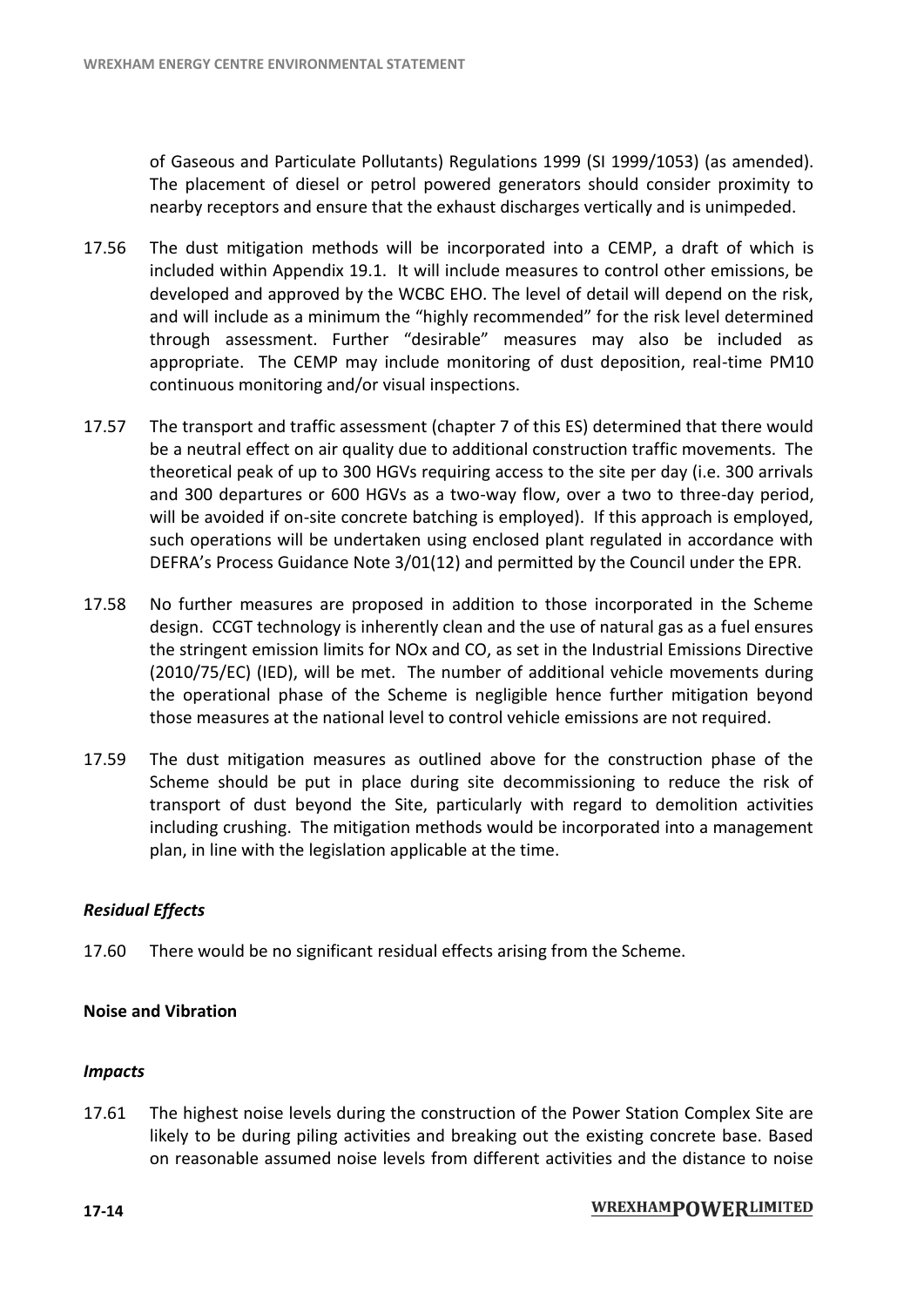of Gaseous and Particulate Pollutants) Regulations 1999 (SI 1999/1053) (as amended). The placement of diesel or petrol powered generators should consider proximity to nearby receptors and ensure that the exhaust discharges vertically and is unimpeded.

- 17.56 The dust mitigation methods will be incorporated into a CEMP, a draft of which is included within Appendix 19.1. It will include measures to control other emissions, be developed and approved by the WCBC EHO. The level of detail will depend on the risk, and will include as a minimum the "highly recommended" for the risk level determined through assessment. Further "desirable" measures may also be included as appropriate. The CEMP may include monitoring of dust deposition, real-time PM10 continuous monitoring and/or visual inspections.
- 17.57 The transport and traffic assessment (chapter 7 of this ES) determined that there would be a neutral effect on air quality due to additional construction traffic movements. The theoretical peak of up to 300 HGVs requiring access to the site per day (i.e. 300 arrivals and 300 departures or 600 HGVs as a two-way flow, over a two to three-day period, will be avoided if on-site concrete batching is employed). If this approach is employed, such operations will be undertaken using enclosed plant regulated in accordance with DEFRA's Process Guidance Note 3/01(12) and permitted by the Council under the EPR.
- 17.58 No further measures are proposed in addition to those incorporated in the Scheme design. CCGT technology is inherently clean and the use of natural gas as a fuel ensures the stringent emission limits for NOx and CO, as set in the Industrial Emissions Directive (2010/75/EC) (IED), will be met. The number of additional vehicle movements during the operational phase of the Scheme is negligible hence further mitigation beyond those measures at the national level to control vehicle emissions are not required.
- 17.59 The dust mitigation measures as outlined above for the construction phase of the Scheme should be put in place during site decommissioning to reduce the risk of transport of dust beyond the Site, particularly with regard to demolition activities including crushing. The mitigation methods would be incorporated into a management plan, in line with the legislation applicable at the time.

## *Residual Effects*

17.60 There would be no significant residual effects arising from the Scheme.

## **Noise and Vibration**

## *Impacts*

17.61 The highest noise levels during the construction of the Power Station Complex Site are likely to be during piling activities and breaking out the existing concrete base. Based on reasonable assumed noise levels from different activities and the distance to noise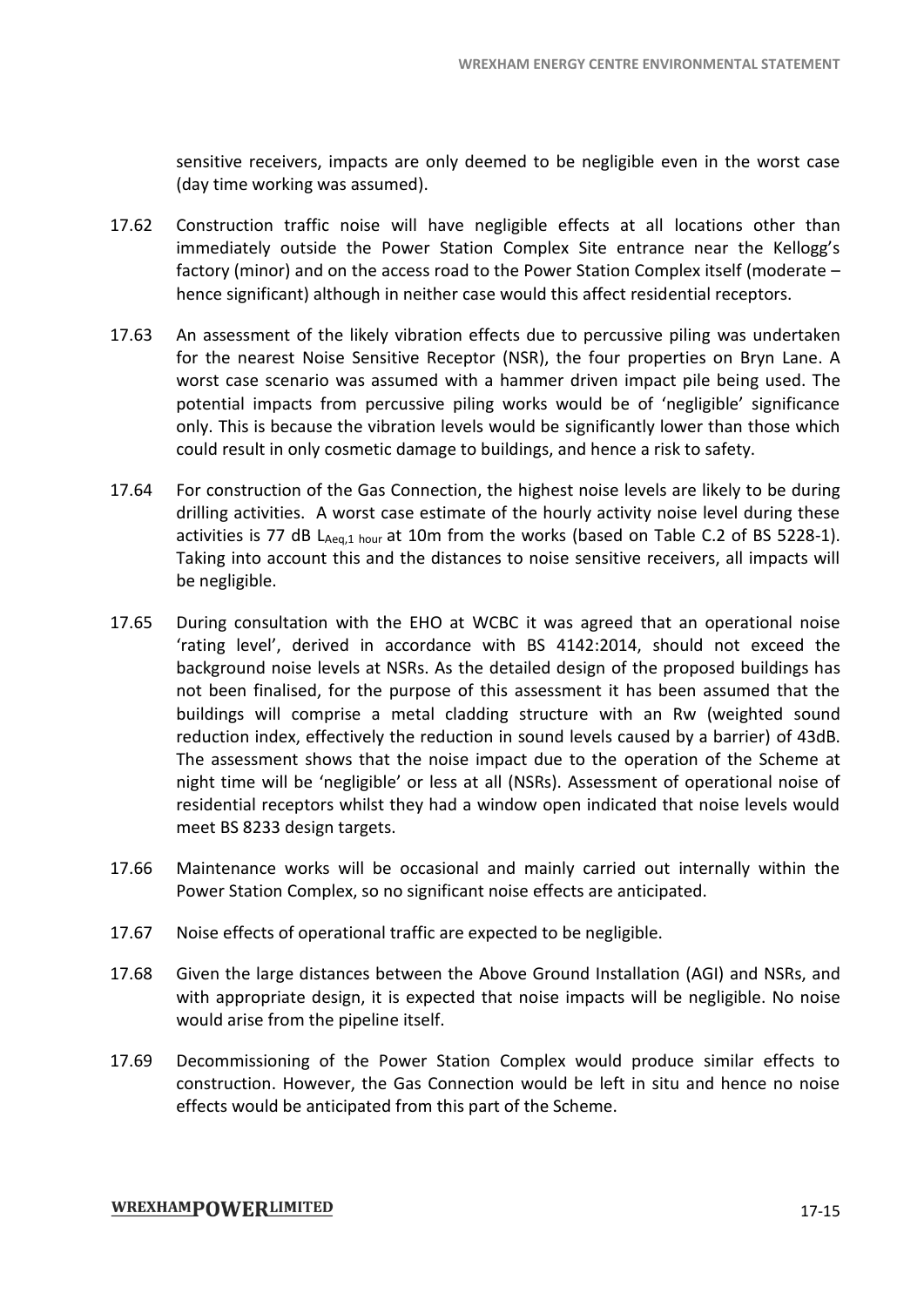sensitive receivers, impacts are only deemed to be negligible even in the worst case (day time working was assumed).

- 17.62 Construction traffic noise will have negligible effects at all locations other than immediately outside the Power Station Complex Site entrance near the Kellogg's factory (minor) and on the access road to the Power Station Complex itself (moderate – hence significant) although in neither case would this affect residential receptors.
- 17.63 An assessment of the likely vibration effects due to percussive piling was undertaken for the nearest Noise Sensitive Receptor (NSR), the four properties on Bryn Lane. A worst case scenario was assumed with a hammer driven impact pile being used. The potential impacts from percussive piling works would be of 'negligible' significance only. This is because the vibration levels would be significantly lower than those which could result in only cosmetic damage to buildings, and hence a risk to safety.
- 17.64 For construction of the Gas Connection, the highest noise levels are likely to be during drilling activities. A worst case estimate of the hourly activity noise level during these activities is 77 dB  $L_{A_1}$  hour at 10m from the works (based on Table C.2 of BS 5228-1). Taking into account this and the distances to noise sensitive receivers, all impacts will be negligible.
- 17.65 During consultation with the EHO at WCBC it was agreed that an operational noise 'rating level', derived in accordance with BS 4142:2014, should not exceed the background noise levels at NSRs. As the detailed design of the proposed buildings has not been finalised, for the purpose of this assessment it has been assumed that the buildings will comprise a metal cladding structure with an Rw (weighted sound reduction index, effectively the reduction in sound levels caused by a barrier) of 43dB. The assessment shows that the noise impact due to the operation of the Scheme at night time will be 'negligible' or less at all (NSRs). Assessment of operational noise of residential receptors whilst they had a window open indicated that noise levels would meet BS 8233 design targets.
- 17.66 Maintenance works will be occasional and mainly carried out internally within the Power Station Complex, so no significant noise effects are anticipated.
- 17.67 Noise effects of operational traffic are expected to be negligible.
- 17.68 Given the large distances between the Above Ground Installation (AGI) and NSRs, and with appropriate design, it is expected that noise impacts will be negligible. No noise would arise from the pipeline itself.
- 17.69 Decommissioning of the Power Station Complex would produce similar effects to construction. However, the Gas Connection would be left in situ and hence no noise effects would be anticipated from this part of the Scheme.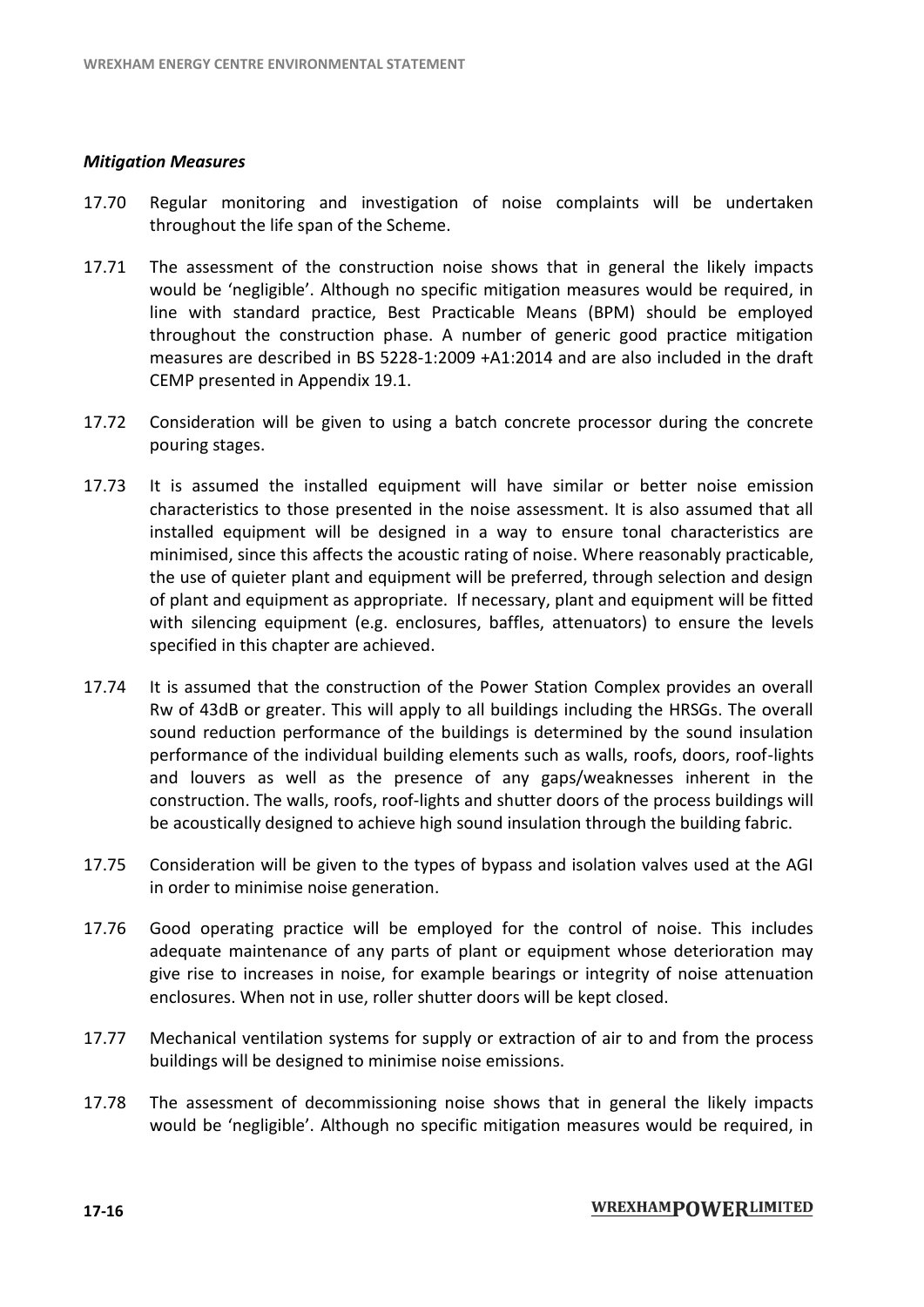## *Mitigation Measures*

- 17.70 Regular monitoring and investigation of noise complaints will be undertaken throughout the life span of the Scheme.
- 17.71 The assessment of the construction noise shows that in general the likely impacts would be 'negligible'. Although no specific mitigation measures would be required, in line with standard practice, Best Practicable Means (BPM) should be employed throughout the construction phase. A number of generic good practice mitigation measures are described in BS 5228-1:2009 +A1:2014 and are also included in the draft CEMP presented in Appendix 19.1.
- 17.72 Consideration will be given to using a batch concrete processor during the concrete pouring stages.
- 17.73 It is assumed the installed equipment will have similar or better noise emission characteristics to those presented in the noise assessment. It is also assumed that all installed equipment will be designed in a way to ensure tonal characteristics are minimised, since this affects the acoustic rating of noise. Where reasonably practicable, the use of quieter plant and equipment will be preferred, through selection and design of plant and equipment as appropriate. If necessary, plant and equipment will be fitted with silencing equipment (e.g. enclosures, baffles, attenuators) to ensure the levels specified in this chapter are achieved.
- 17.74 It is assumed that the construction of the Power Station Complex provides an overall Rw of 43dB or greater. This will apply to all buildings including the HRSGs. The overall sound reduction performance of the buildings is determined by the sound insulation performance of the individual building elements such as walls, roofs, doors, roof-lights and louvers as well as the presence of any gaps/weaknesses inherent in the construction. The walls, roofs, roof-lights and shutter doors of the process buildings will be acoustically designed to achieve high sound insulation through the building fabric.
- 17.75 Consideration will be given to the types of bypass and isolation valves used at the AGI in order to minimise noise generation.
- 17.76 Good operating practice will be employed for the control of noise. This includes adequate maintenance of any parts of plant or equipment whose deterioration may give rise to increases in noise, for example bearings or integrity of noise attenuation enclosures. When not in use, roller shutter doors will be kept closed.
- 17.77 Mechanical ventilation systems for supply or extraction of air to and from the process buildings will be designed to minimise noise emissions.
- 17.78 The assessment of decommissioning noise shows that in general the likely impacts would be 'negligible'. Although no specific mitigation measures would be required, in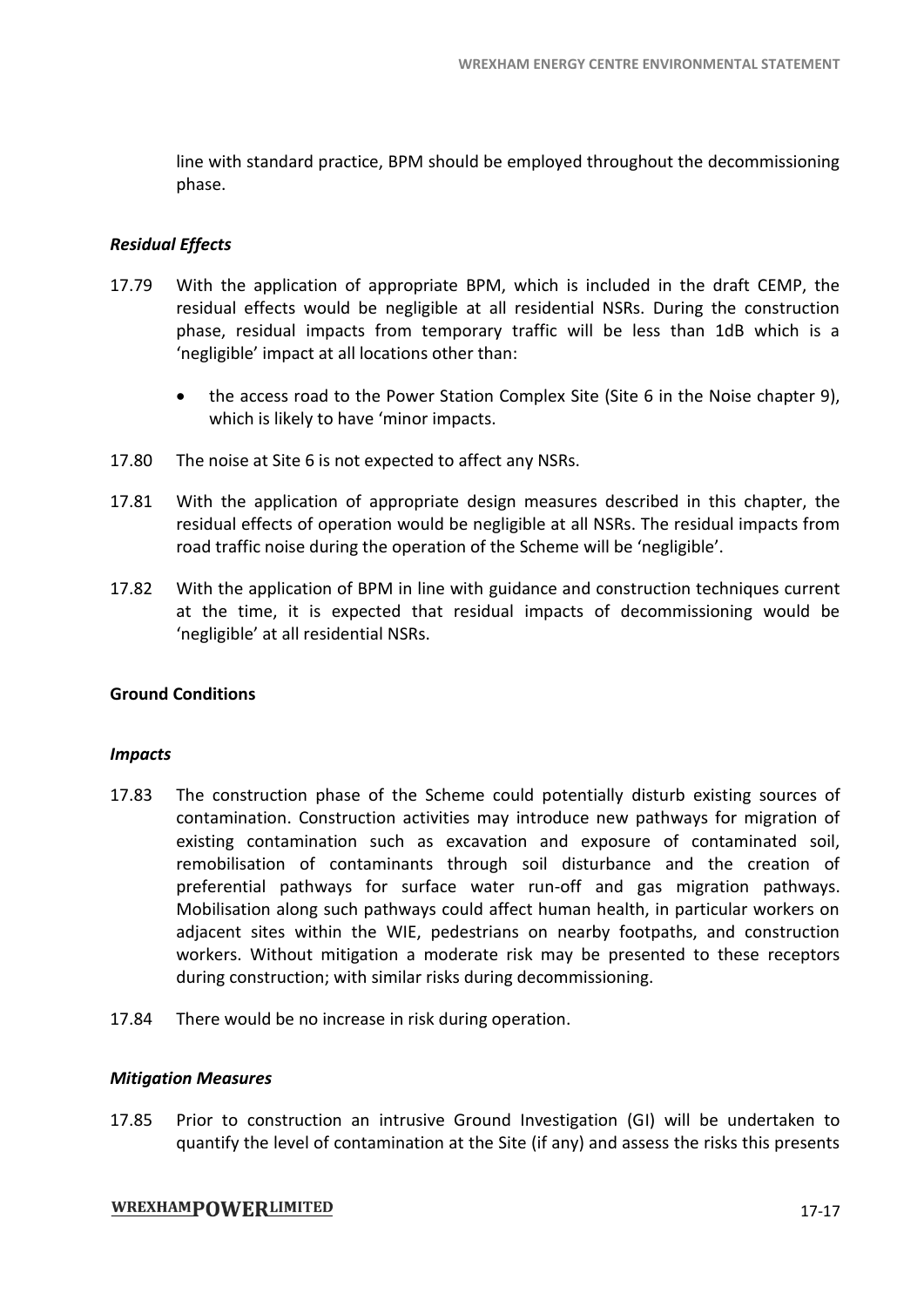line with standard practice, BPM should be employed throughout the decommissioning phase.

## *Residual Effects*

- 17.79 With the application of appropriate BPM, which is included in the draft CEMP, the residual effects would be negligible at all residential NSRs. During the construction phase, residual impacts from temporary traffic will be less than 1dB which is a 'negligible' impact at all locations other than:
	- the access road to the Power Station Complex Site (Site 6 in the Noise chapter 9), which is likely to have 'minor impacts.
- 17.80 The noise at Site 6 is not expected to affect any NSRs.
- 17.81 With the application of appropriate design measures described in this chapter, the residual effects of operation would be negligible at all NSRs. The residual impacts from road traffic noise during the operation of the Scheme will be 'negligible'.
- 17.82 With the application of BPM in line with guidance and construction techniques current at the time, it is expected that residual impacts of decommissioning would be 'negligible' at all residential NSRs.

#### **Ground Conditions**

#### *Impacts*

- 17.83 The construction phase of the Scheme could potentially disturb existing sources of contamination. Construction activities may introduce new pathways for migration of existing contamination such as excavation and exposure of contaminated soil, remobilisation of contaminants through soil disturbance and the creation of preferential pathways for surface water run-off and gas migration pathways. Mobilisation along such pathways could affect human health, in particular workers on adjacent sites within the WIE, pedestrians on nearby footpaths, and construction workers. Without mitigation a moderate risk may be presented to these receptors during construction; with similar risks during decommissioning.
- 17.84 There would be no increase in risk during operation.

#### *Mitigation Measures*

17.85 Prior to construction an intrusive Ground Investigation (GI) will be undertaken to quantify the level of contamination at the Site (if any) and assess the risks this presents

#### **WREXHAMPOWERLIMITED**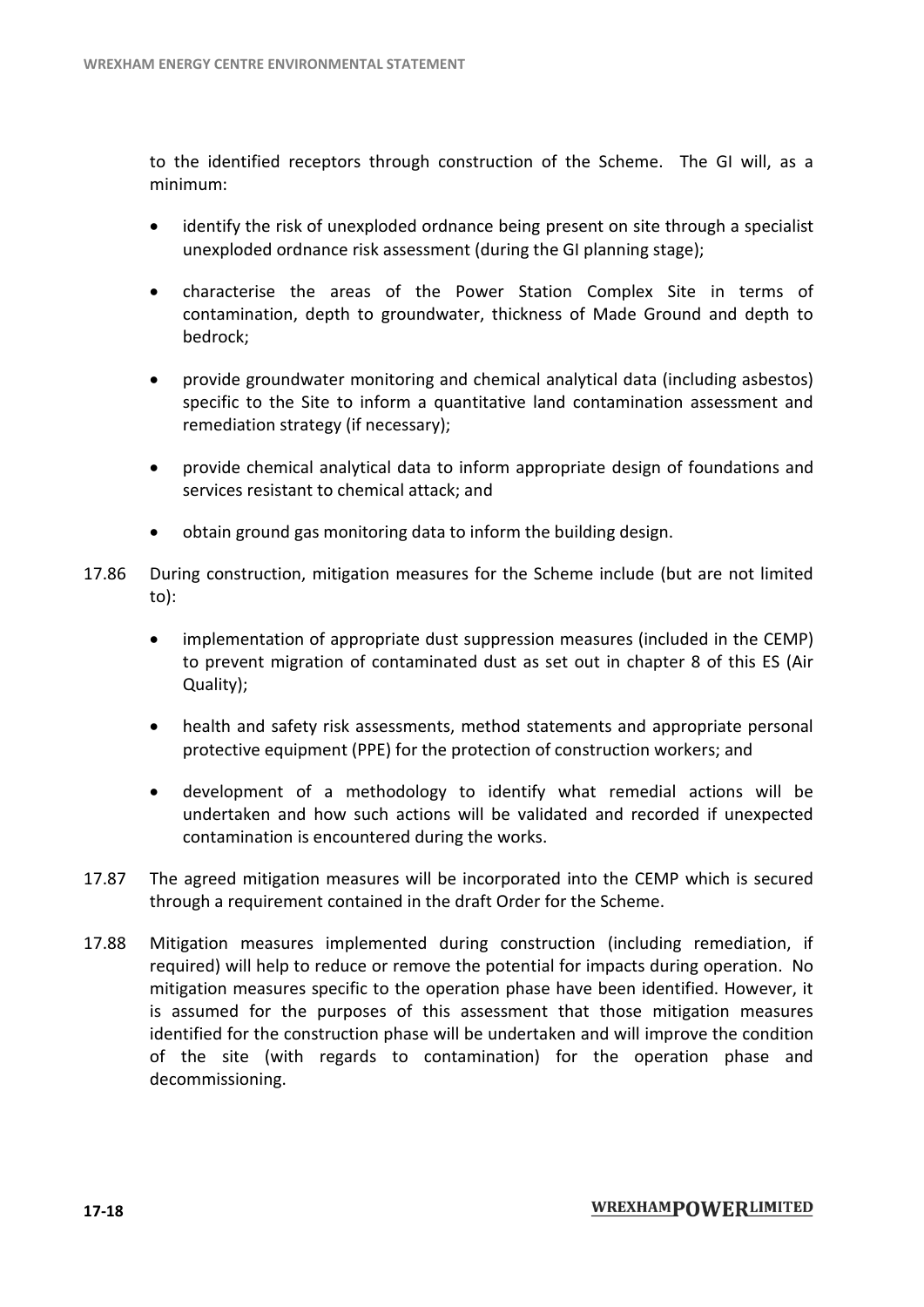to the identified receptors through construction of the Scheme. The GI will, as a minimum:

- identify the risk of unexploded ordnance being present on site through a specialist unexploded ordnance risk assessment (during the GI planning stage);
- characterise the areas of the Power Station Complex Site in terms of contamination, depth to groundwater, thickness of Made Ground and depth to bedrock;
- provide groundwater monitoring and chemical analytical data (including asbestos) specific to the Site to inform a quantitative land contamination assessment and remediation strategy (if necessary);
- provide chemical analytical data to inform appropriate design of foundations and services resistant to chemical attack; and
- obtain ground gas monitoring data to inform the building design.
- 17.86 During construction, mitigation measures for the Scheme include (but are not limited to):
	- implementation of appropriate dust suppression measures (included in the CEMP) to prevent migration of contaminated dust as set out in chapter 8 of this ES (Air Quality);
	- health and safety risk assessments, method statements and appropriate personal protective equipment (PPE) for the protection of construction workers; and
	- development of a methodology to identify what remedial actions will be undertaken and how such actions will be validated and recorded if unexpected contamination is encountered during the works.
- 17.87 The agreed mitigation measures will be incorporated into the CEMP which is secured through a requirement contained in the draft Order for the Scheme.
- 17.88 Mitigation measures implemented during construction (including remediation, if required) will help to reduce or remove the potential for impacts during operation. No mitigation measures specific to the operation phase have been identified. However, it is assumed for the purposes of this assessment that those mitigation measures identified for the construction phase will be undertaken and will improve the condition of the site (with regards to contamination) for the operation phase and decommissioning.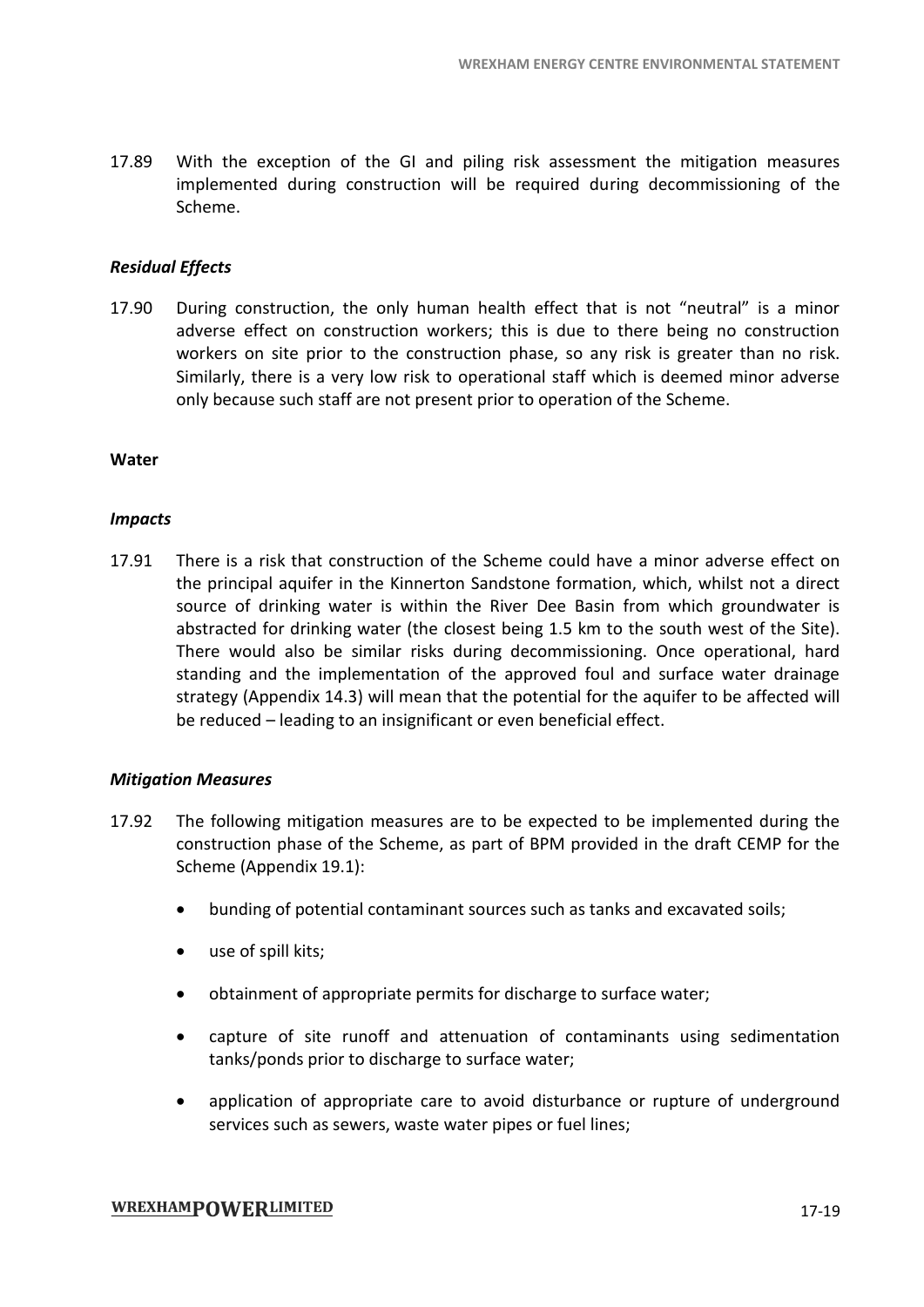17.89 With the exception of the GI and piling risk assessment the mitigation measures implemented during construction will be required during decommissioning of the Scheme.

## *Residual Effects*

17.90 During construction, the only human health effect that is not "neutral" is a minor adverse effect on construction workers; this is due to there being no construction workers on site prior to the construction phase, so any risk is greater than no risk. Similarly, there is a very low risk to operational staff which is deemed minor adverse only because such staff are not present prior to operation of the Scheme.

## **Water**

## *Impacts*

17.91 There is a risk that construction of the Scheme could have a minor adverse effect on the principal aquifer in the Kinnerton Sandstone formation, which, whilst not a direct source of drinking water is within the River Dee Basin from which groundwater is abstracted for drinking water (the closest being 1.5 km to the south west of the Site). There would also be similar risks during decommissioning. Once operational, hard standing and the implementation of the approved foul and surface water drainage strategy (Appendix 14.3) will mean that the potential for the aquifer to be affected will be reduced – leading to an insignificant or even beneficial effect.

## *Mitigation Measures*

- 17.92 The following mitigation measures are to be expected to be implemented during the construction phase of the Scheme, as part of BPM provided in the draft CEMP for the Scheme (Appendix 19.1):
	- bunding of potential contaminant sources such as tanks and excavated soils;
	- use of spill kits;
	- obtainment of appropriate permits for discharge to surface water;
	- capture of site runoff and attenuation of contaminants using sedimentation tanks/ponds prior to discharge to surface water;
	- application of appropriate care to avoid disturbance or rupture of underground services such as sewers, waste water pipes or fuel lines;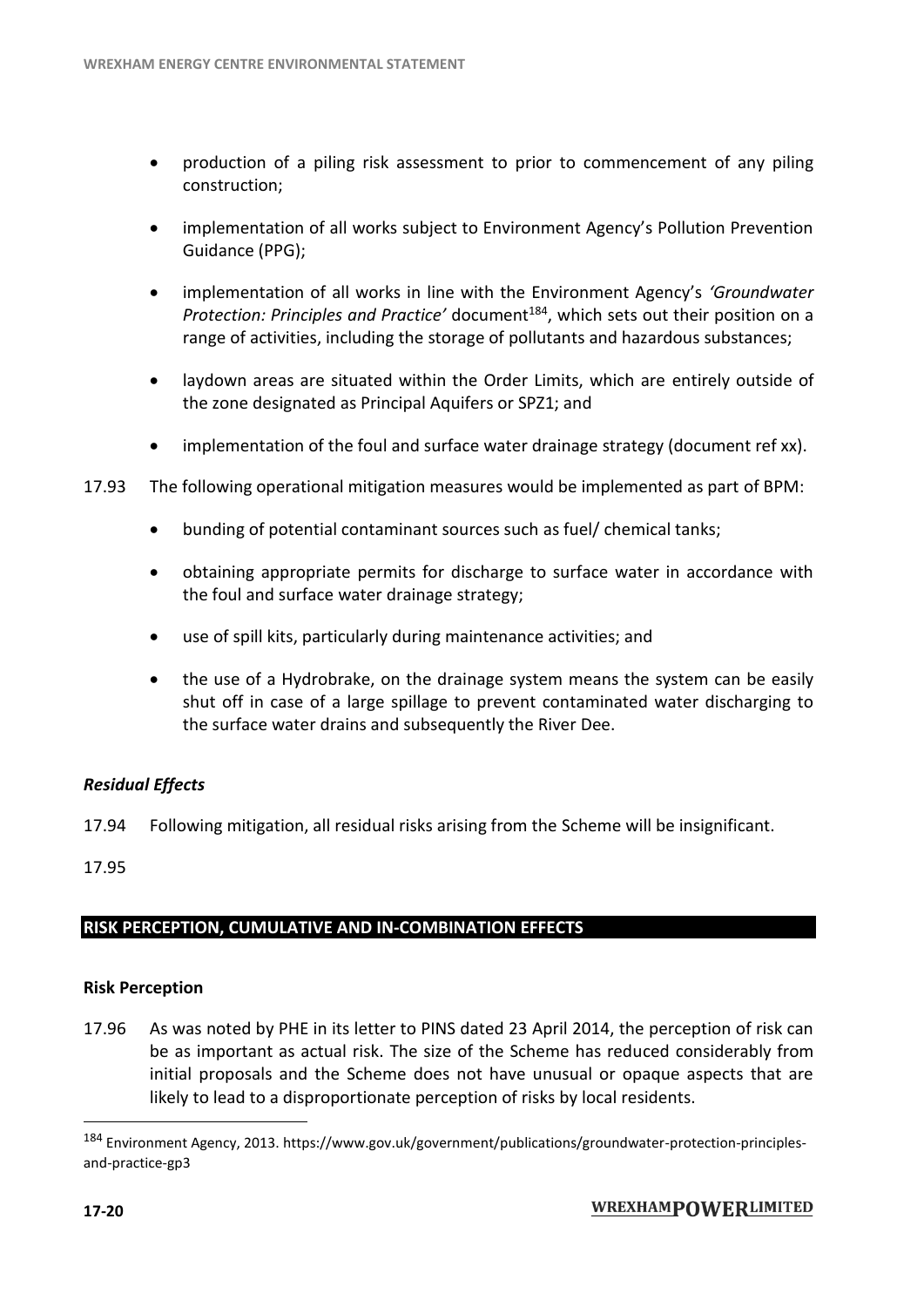- production of a piling risk assessment to prior to commencement of any piling construction;
- implementation of all works subject to Environment Agency's Pollution Prevention Guidance (PPG);
- implementation of all works in line with the Environment Agency's *'Groundwater Protection: Principles and Practice'* document<sup>184</sup>, which sets out their position on a range of activities, including the storage of pollutants and hazardous substances;
- laydown areas are situated within the Order Limits, which are entirely outside of the zone designated as Principal Aquifers or SPZ1; and
- implementation of the foul and surface water drainage strategy (document ref xx).
- 17.93 The following operational mitigation measures would be implemented as part of BPM:
	- bunding of potential contaminant sources such as fuel/ chemical tanks;
	- obtaining appropriate permits for discharge to surface water in accordance with the foul and surface water drainage strategy;
	- use of spill kits, particularly during maintenance activities; and
	- the use of a Hydrobrake, on the drainage system means the system can be easily shut off in case of a large spillage to prevent contaminated water discharging to the surface water drains and subsequently the River Dee.

## *Residual Effects*

17.94 Following mitigation, all residual risks arising from the Scheme will be insignificant.

17.95

## **RISK PERCEPTION, CUMULATIVE AND IN-COMBINATION EFFECTS**

#### **Risk Perception**

17.96 As was noted by PHE in its letter to PINS dated 23 April 2014, the perception of risk can be as important as actual risk. The size of the Scheme has reduced considerably from initial proposals and the Scheme does not have unusual or opaque aspects that are likely to lead to a disproportionate perception of risks by local residents.

 $\overline{a}$ 

<sup>184</sup> Environment Agency, 2013. https://www.gov.uk/government/publications/groundwater-protection-principlesand-practice-gp3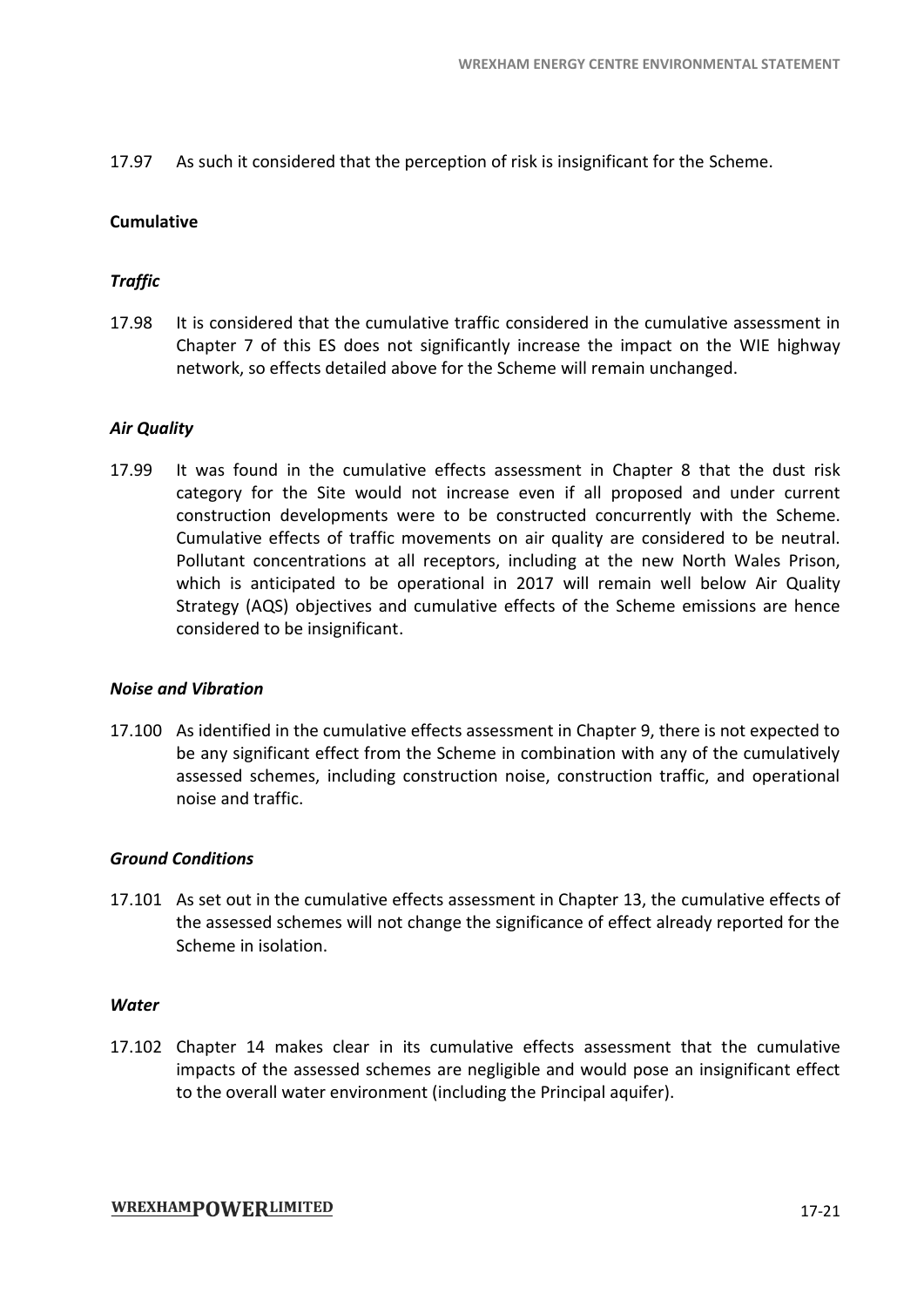17.97 As such it considered that the perception of risk is insignificant for the Scheme.

## **Cumulative**

## *Traffic*

17.98 It is considered that the cumulative traffic considered in the cumulative assessment in Chapter 7 of this ES does not significantly increase the impact on the WIE highway network, so effects detailed above for the Scheme will remain unchanged.

## *Air Quality*

17.99 It was found in the cumulative effects assessment in Chapter 8 that the dust risk category for the Site would not increase even if all proposed and under current construction developments were to be constructed concurrently with the Scheme. Cumulative effects of traffic movements on air quality are considered to be neutral. Pollutant concentrations at all receptors, including at the new North Wales Prison, which is anticipated to be operational in 2017 will remain well below Air Quality Strategy (AQS) objectives and cumulative effects of the Scheme emissions are hence considered to be insignificant.

## *Noise and Vibration*

17.100 As identified in the cumulative effects assessment in Chapter 9, there is not expected to be any significant effect from the Scheme in combination with any of the cumulatively assessed schemes, including construction noise, construction traffic, and operational noise and traffic.

## *Ground Conditions*

17.101 As set out in the cumulative effects assessment in Chapter 13, the cumulative effects of the assessed schemes will not change the significance of effect already reported for the Scheme in isolation.

## *Water*

17.102 Chapter 14 makes clear in its cumulative effects assessment that the cumulative impacts of the assessed schemes are negligible and would pose an insignificant effect to the overall water environment (including the Principal aquifer).